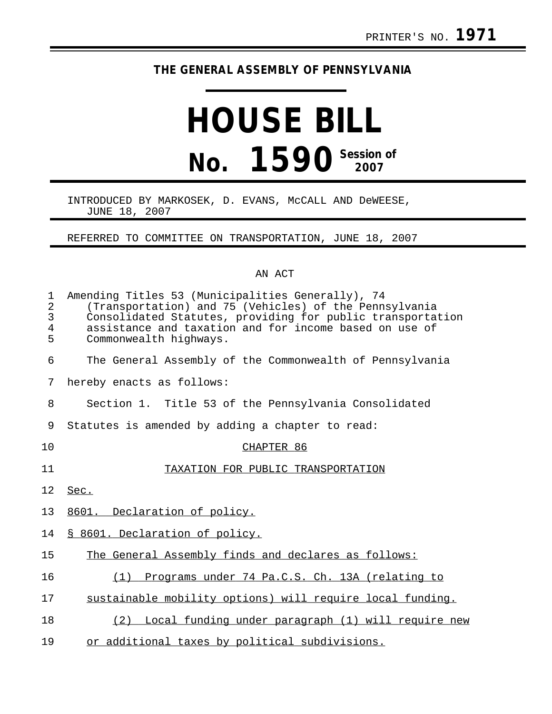## **THE GENERAL ASSEMBLY OF PENNSYLVANIA**

## **HOUSE BILL No. 1590** Session of

## INTRODUCED BY MARKOSEK, D. EVANS, McCALL AND DeWEESE, JUNE 18, 2007

REFERRED TO COMMITTEE ON TRANSPORTATION, JUNE 18, 2007

## AN ACT

| $\mathbf 1$<br>$\overline{a}$<br>3<br>4<br>5 | Amending Titles 53 (Municipalities Generally), 74<br>(Transportation) and 75 (Vehicles) of the Pennsylvania<br>Consolidated Statutes, providing for public transportation<br>assistance and taxation and for income based on use of<br>Commonwealth highways. |
|----------------------------------------------|---------------------------------------------------------------------------------------------------------------------------------------------------------------------------------------------------------------------------------------------------------------|
| 6                                            | The General Assembly of the Commonwealth of Pennsylvania                                                                                                                                                                                                      |
| 7                                            | hereby enacts as follows:                                                                                                                                                                                                                                     |
| 8                                            | Section 1. Title 53 of the Pennsylvania Consolidated                                                                                                                                                                                                          |
| 9                                            | Statutes is amended by adding a chapter to read:                                                                                                                                                                                                              |
| 10                                           | CHAPTER 86                                                                                                                                                                                                                                                    |
| 11                                           | TAXATION FOR PUBLIC TRANSPORTATION                                                                                                                                                                                                                            |
| 12                                           | Sec.                                                                                                                                                                                                                                                          |
| 13                                           | 8601. Declaration of policy.                                                                                                                                                                                                                                  |
| 14                                           | § 8601. Declaration of policy.                                                                                                                                                                                                                                |
| 15                                           | The General Assembly finds and declares as follows:                                                                                                                                                                                                           |
| 16                                           | Programs under 74 Pa.C.S. Ch. 13A (relating to<br>(1)                                                                                                                                                                                                         |
| 17                                           | sustainable mobility options) will require local funding.                                                                                                                                                                                                     |
| 18                                           | Local funding under paragraph (1) will require new<br>(2)                                                                                                                                                                                                     |
| 19                                           | or additional taxes by political subdivisions.                                                                                                                                                                                                                |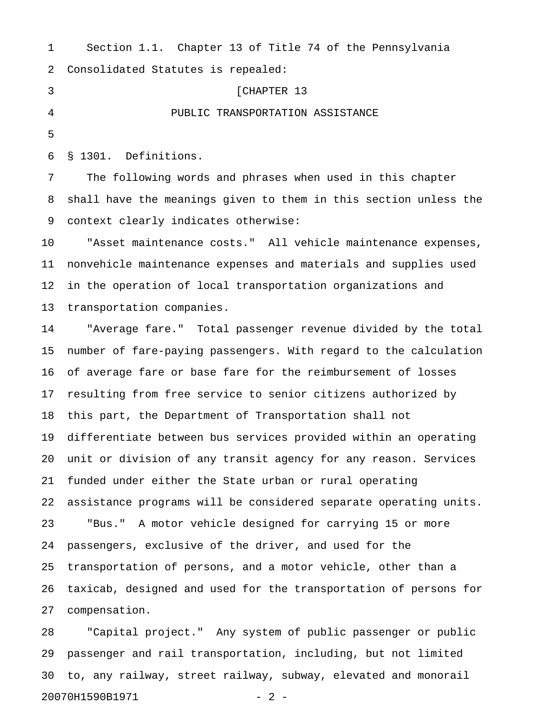|                | $DCCC2212 + I + I$                                               |
|----------------|------------------------------------------------------------------|
| 2              | Consolidated Statutes is repealed:                               |
| 3              | [CHAPTER 13                                                      |
| $\overline{4}$ | PUBLIC TRANSPORTATION ASSISTANCE                                 |
| 5              |                                                                  |
| 6              | § 1301. Definitions.                                             |
| 7              | The following words and phrases when used in this chapter        |
| 8              | shall have the meanings given to them in this section unless the |
| 9              | context clearly indicates otherwise:                             |
| 10             | "Asset maintenance costs." All vehicle maintenance expenses,     |
| 11             | nonvehicle maintenance expenses and materials and supplies used  |

1 Section 1.1. Chapter 13 of Title 74 of the Pennsylvania

12 in the operation of local transportation organizations and 13 transportation companies.

14 "Average fare." Total passenger revenue divided by the total 15 number of fare-paying passengers. With regard to the calculation 16 of average fare or base fare for the reimbursement of losses 17 resulting from free service to senior citizens authorized by 18 this part, the Department of Transportation shall not 19 differentiate between bus services provided within an operating 20 unit or division of any transit agency for any reason. Services 21 funded under either the State urban or rural operating 22 assistance programs will be considered separate operating units. 23 "Bus." A motor vehicle designed for carrying 15 or more 24 passengers, exclusive of the driver, and used for the 25 transportation of persons, and a motor vehicle, other than a 26 taxicab, designed and used for the transportation of persons for 27 compensation.

28 "Capital project." Any system of public passenger or public 29 passenger and rail transportation, including, but not limited 30 to, any railway, street railway, subway, elevated and monorail 20070H1590B1971 - 2 -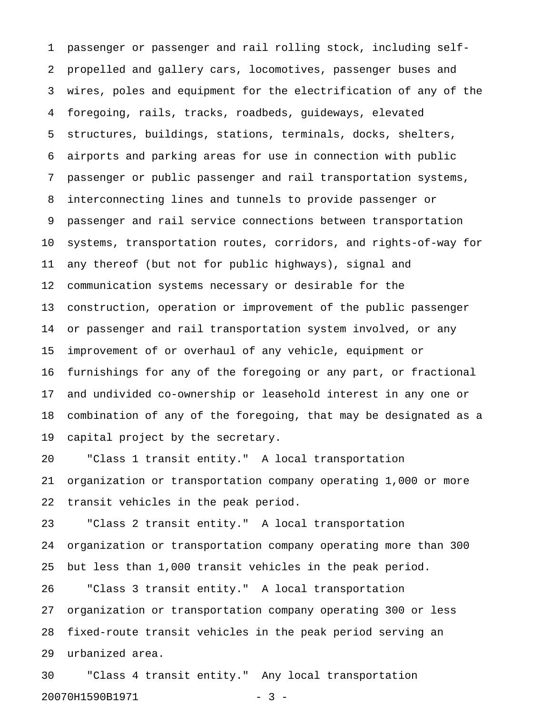1 passenger or passenger and rail rolling stock, including self-2 propelled and gallery cars, locomotives, passenger buses and 3 wires, poles and equipment for the electrification of any of the 4 foregoing, rails, tracks, roadbeds, guideways, elevated 5 structures, buildings, stations, terminals, docks, shelters, 6 airports and parking areas for use in connection with public 7 passenger or public passenger and rail transportation systems, 8 interconnecting lines and tunnels to provide passenger or 9 passenger and rail service connections between transportation 10 systems, transportation routes, corridors, and rights-of-way for 11 any thereof (but not for public highways), signal and 12 communication systems necessary or desirable for the 13 construction, operation or improvement of the public passenger 14 or passenger and rail transportation system involved, or any 15 improvement of or overhaul of any vehicle, equipment or 16 furnishings for any of the foregoing or any part, or fractional 17 and undivided co-ownership or leasehold interest in any one or 18 combination of any of the foregoing, that may be designated as a 19 capital project by the secretary.

20 "Class 1 transit entity." A local transportation 21 organization or transportation company operating 1,000 or more 22 transit vehicles in the peak period.

23 "Class 2 transit entity." A local transportation 24 organization or transportation company operating more than 300 25 but less than 1,000 transit vehicles in the peak period.

26 "Class 3 transit entity." A local transportation 27 organization or transportation company operating 300 or less 28 fixed-route transit vehicles in the peak period serving an 29 urbanized area.

30 "Class 4 transit entity." Any local transportation 20070H1590B1971 - 3 -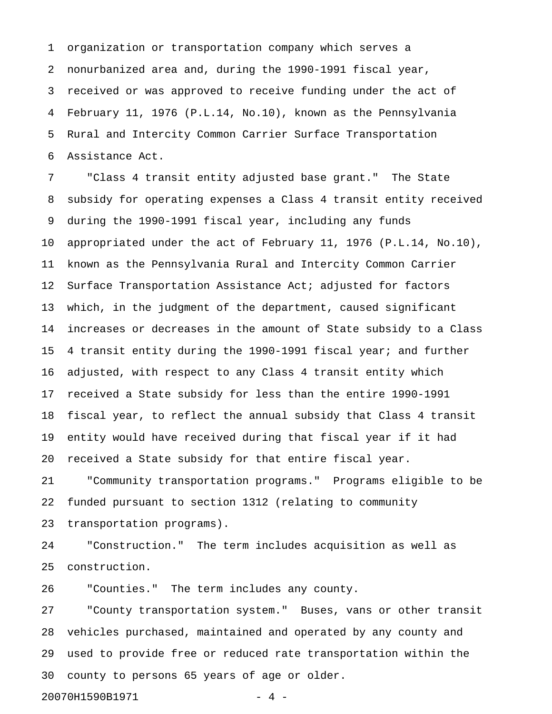1 organization or transportation company which serves a 2 nonurbanized area and, during the 1990-1991 fiscal year, 3 received or was approved to receive funding under the act of 4 February 11, 1976 (P.L.14, No.10), known as the Pennsylvania 5 Rural and Intercity Common Carrier Surface Transportation 6 Assistance Act.

7 "Class 4 transit entity adjusted base grant." The State 8 subsidy for operating expenses a Class 4 transit entity received 9 during the 1990-1991 fiscal year, including any funds 10 appropriated under the act of February 11, 1976 (P.L.14, No.10), 11 known as the Pennsylvania Rural and Intercity Common Carrier 12 Surface Transportation Assistance Act; adjusted for factors 13 which, in the judgment of the department, caused significant 14 increases or decreases in the amount of State subsidy to a Class 15 4 transit entity during the 1990-1991 fiscal year; and further 16 adjusted, with respect to any Class 4 transit entity which 17 received a State subsidy for less than the entire 1990-1991 18 fiscal year, to reflect the annual subsidy that Class 4 transit 19 entity would have received during that fiscal year if it had 20 received a State subsidy for that entire fiscal year.

21 "Community transportation programs." Programs eligible to be 22 funded pursuant to section 1312 (relating to community 23 transportation programs).

24 "Construction." The term includes acquisition as well as 25 construction.

26 "Counties." The term includes any county.

27 "County transportation system." Buses, vans or other transit 28 vehicles purchased, maintained and operated by any county and 29 used to provide free or reduced rate transportation within the 30 county to persons 65 years of age or older.

20070H1590B1971 - 4 -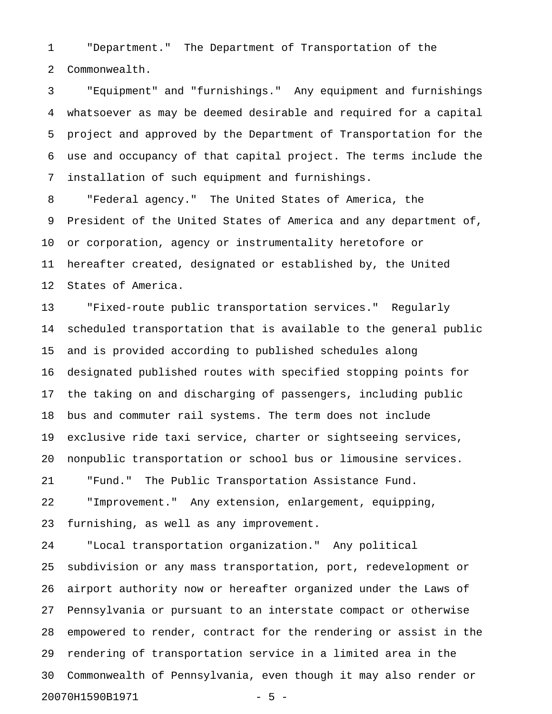1 "Department." The Department of Transportation of the 2 Commonwealth.

3 "Equipment" and "furnishings." Any equipment and furnishings 4 whatsoever as may be deemed desirable and required for a capital 5 project and approved by the Department of Transportation for the 6 use and occupancy of that capital project. The terms include the 7 installation of such equipment and furnishings.

8 "Federal agency." The United States of America, the 9 President of the United States of America and any department of, 10 or corporation, agency or instrumentality heretofore or 11 hereafter created, designated or established by, the United 12 States of America.

13 "Fixed-route public transportation services." Regularly 14 scheduled transportation that is available to the general public 15 and is provided according to published schedules along 16 designated published routes with specified stopping points for 17 the taking on and discharging of passengers, including public 18 bus and commuter rail systems. The term does not include 19 exclusive ride taxi service, charter or sightseeing services, 20 nonpublic transportation or school bus or limousine services. 21 "Fund." The Public Transportation Assistance Fund. 22 "Improvement." Any extension, enlargement, equipping, 23 furnishing, as well as any improvement.

24 "Local transportation organization." Any political 25 subdivision or any mass transportation, port, redevelopment or 26 airport authority now or hereafter organized under the Laws of 27 Pennsylvania or pursuant to an interstate compact or otherwise 28 empowered to render, contract for the rendering or assist in the 29 rendering of transportation service in a limited area in the 30 Commonwealth of Pennsylvania, even though it may also render or 20070H1590B1971 - 5 -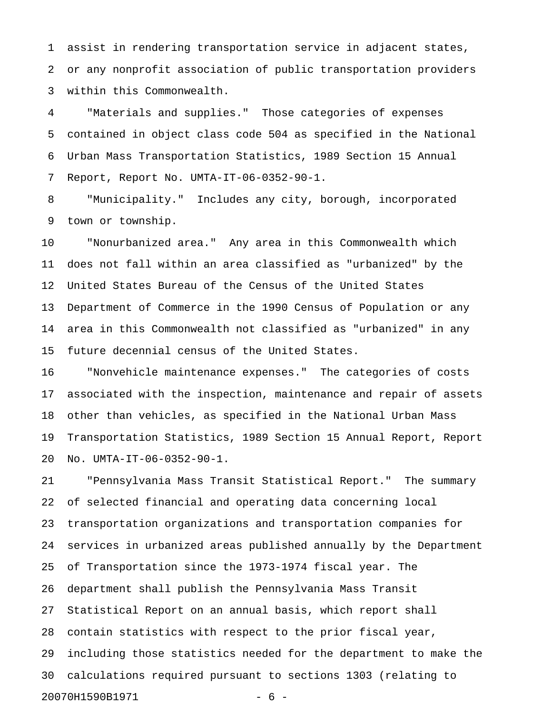1 assist in rendering transportation service in adjacent states, 2 or any nonprofit association of public transportation providers 3 within this Commonwealth.

4 "Materials and supplies." Those categories of expenses 5 contained in object class code 504 as specified in the National 6 Urban Mass Transportation Statistics, 1989 Section 15 Annual 7 Report, Report No. UMTA-IT-06-0352-90-1.

8 "Municipality." Includes any city, borough, incorporated 9 town or township.

10 "Nonurbanized area." Any area in this Commonwealth which 11 does not fall within an area classified as "urbanized" by the 12 United States Bureau of the Census of the United States 13 Department of Commerce in the 1990 Census of Population or any 14 area in this Commonwealth not classified as "urbanized" in any 15 future decennial census of the United States.

16 "Nonvehicle maintenance expenses." The categories of costs 17 associated with the inspection, maintenance and repair of assets 18 other than vehicles, as specified in the National Urban Mass 19 Transportation Statistics, 1989 Section 15 Annual Report, Report 20 No. UMTA-IT-06-0352-90-1.

21 "Pennsylvania Mass Transit Statistical Report." The summary 22 of selected financial and operating data concerning local 23 transportation organizations and transportation companies for 24 services in urbanized areas published annually by the Department 25 of Transportation since the 1973-1974 fiscal year. The 26 department shall publish the Pennsylvania Mass Transit 27 Statistical Report on an annual basis, which report shall 28 contain statistics with respect to the prior fiscal year, 29 including those statistics needed for the department to make the 30 calculations required pursuant to sections 1303 (relating to 20070H1590B1971 - 6 -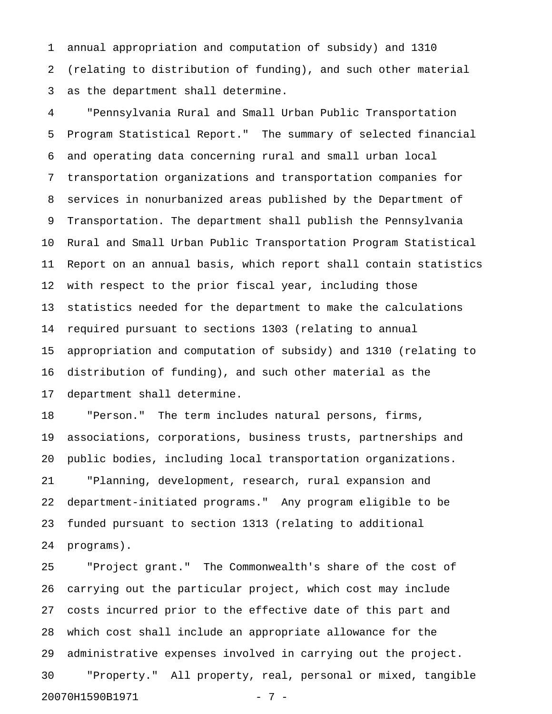1 annual appropriation and computation of subsidy) and 1310 2 (relating to distribution of funding), and such other material 3 as the department shall determine.

4 "Pennsylvania Rural and Small Urban Public Transportation 5 Program Statistical Report." The summary of selected financial 6 and operating data concerning rural and small urban local 7 transportation organizations and transportation companies for 8 services in nonurbanized areas published by the Department of 9 Transportation. The department shall publish the Pennsylvania 10 Rural and Small Urban Public Transportation Program Statistical 11 Report on an annual basis, which report shall contain statistics 12 with respect to the prior fiscal year, including those 13 statistics needed for the department to make the calculations 14 required pursuant to sections 1303 (relating to annual 15 appropriation and computation of subsidy) and 1310 (relating to 16 distribution of funding), and such other material as the 17 department shall determine.

18 "Person." The term includes natural persons, firms, 19 associations, corporations, business trusts, partnerships and 20 public bodies, including local transportation organizations. 21 "Planning, development, research, rural expansion and 22 department-initiated programs." Any program eligible to be 23 funded pursuant to section 1313 (relating to additional 24 programs).

25 "Project grant." The Commonwealth's share of the cost of 26 carrying out the particular project, which cost may include 27 costs incurred prior to the effective date of this part and 28 which cost shall include an appropriate allowance for the 29 administrative expenses involved in carrying out the project. 30 "Property." All property, real, personal or mixed, tangible 20070H1590B1971 - 7 -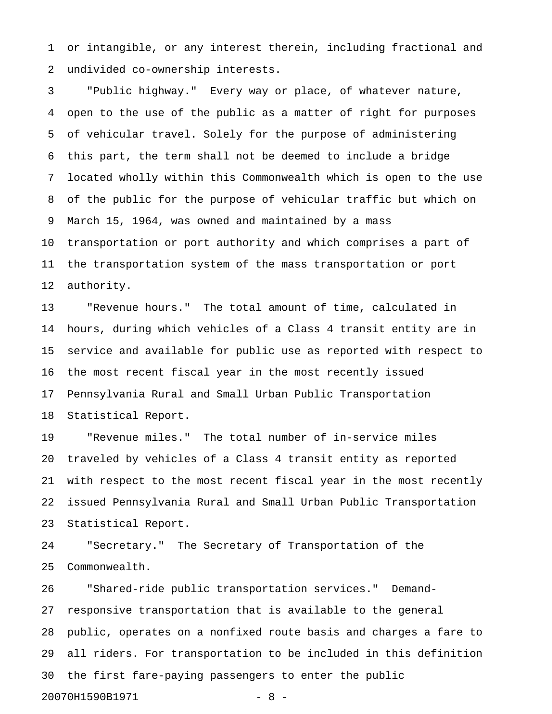1 or intangible, or any interest therein, including fractional and 2 undivided co-ownership interests.

3 "Public highway." Every way or place, of whatever nature, 4 open to the use of the public as a matter of right for purposes 5 of vehicular travel. Solely for the purpose of administering 6 this part, the term shall not be deemed to include a bridge 7 located wholly within this Commonwealth which is open to the use 8 of the public for the purpose of vehicular traffic but which on 9 March 15, 1964, was owned and maintained by a mass 10 transportation or port authority and which comprises a part of 11 the transportation system of the mass transportation or port 12 authority.

13 "Revenue hours." The total amount of time, calculated in 14 hours, during which vehicles of a Class 4 transit entity are in 15 service and available for public use as reported with respect to 16 the most recent fiscal year in the most recently issued 17 Pennsylvania Rural and Small Urban Public Transportation 18 Statistical Report.

19 "Revenue miles." The total number of in-service miles 20 traveled by vehicles of a Class 4 transit entity as reported 21 with respect to the most recent fiscal year in the most recently 22 issued Pennsylvania Rural and Small Urban Public Transportation 23 Statistical Report.

24 "Secretary." The Secretary of Transportation of the 25 Commonwealth.

26 "Shared-ride public transportation services." Demand-27 responsive transportation that is available to the general 28 public, operates on a nonfixed route basis and charges a fare to 29 all riders. For transportation to be included in this definition 30 the first fare-paying passengers to enter the public 20070H1590B1971 - 8 -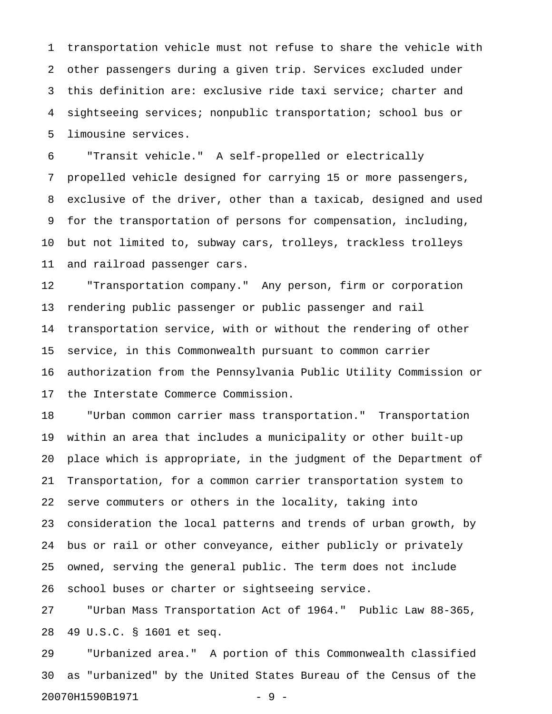1 transportation vehicle must not refuse to share the vehicle with 2 other passengers during a given trip. Services excluded under 3 this definition are: exclusive ride taxi service; charter and 4 sightseeing services; nonpublic transportation; school bus or 5 limousine services.

6 "Transit vehicle." A self-propelled or electrically 7 propelled vehicle designed for carrying 15 or more passengers, 8 exclusive of the driver, other than a taxicab, designed and used 9 for the transportation of persons for compensation, including, 10 but not limited to, subway cars, trolleys, trackless trolleys 11 and railroad passenger cars.

12 "Transportation company." Any person, firm or corporation 13 rendering public passenger or public passenger and rail 14 transportation service, with or without the rendering of other 15 service, in this Commonwealth pursuant to common carrier 16 authorization from the Pennsylvania Public Utility Commission or 17 the Interstate Commerce Commission.

18 "Urban common carrier mass transportation." Transportation 19 within an area that includes a municipality or other built-up 20 place which is appropriate, in the judgment of the Department of 21 Transportation, for a common carrier transportation system to 22 serve commuters or others in the locality, taking into 23 consideration the local patterns and trends of urban growth, by 24 bus or rail or other conveyance, either publicly or privately 25 owned, serving the general public. The term does not include 26 school buses or charter or sightseeing service.

27 "Urban Mass Transportation Act of 1964." Public Law 88-365, 28 49 U.S.C. § 1601 et seq.

29 "Urbanized area." A portion of this Commonwealth classified 30 as "urbanized" by the United States Bureau of the Census of the 20070H1590B1971 - 9 -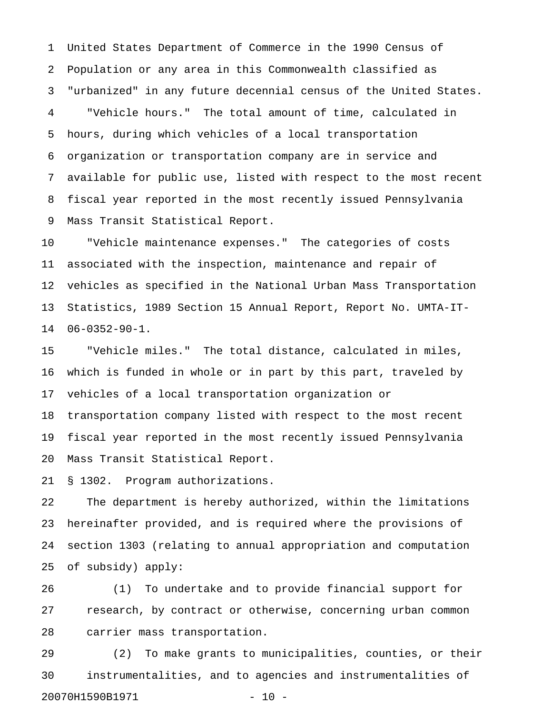1 United States Department of Commerce in the 1990 Census of 2 Population or any area in this Commonwealth classified as 3 "urbanized" in any future decennial census of the United States. 4 "Vehicle hours." The total amount of time, calculated in 5 hours, during which vehicles of a local transportation 6 organization or transportation company are in service and 7 available for public use, listed with respect to the most recent 8 fiscal year reported in the most recently issued Pennsylvania 9 Mass Transit Statistical Report.

10 "Vehicle maintenance expenses." The categories of costs 11 associated with the inspection, maintenance and repair of 12 vehicles as specified in the National Urban Mass Transportation 13 Statistics, 1989 Section 15 Annual Report, Report No. UMTA-IT-14 06-0352-90-1.

15 "Vehicle miles." The total distance, calculated in miles, 16 which is funded in whole or in part by this part, traveled by 17 vehicles of a local transportation organization or

18 transportation company listed with respect to the most recent 19 fiscal year reported in the most recently issued Pennsylvania 20 Mass Transit Statistical Report.

21 § 1302. Program authorizations.

22 The department is hereby authorized, within the limitations 23 hereinafter provided, and is required where the provisions of 24 section 1303 (relating to annual appropriation and computation 25 of subsidy) apply:

26 (1) To undertake and to provide financial support for 27 research, by contract or otherwise, concerning urban common 28 carrier mass transportation.

29 (2) To make grants to municipalities, counties, or their 30 instrumentalities, and to agencies and instrumentalities of 20070H1590B1971 - 10 -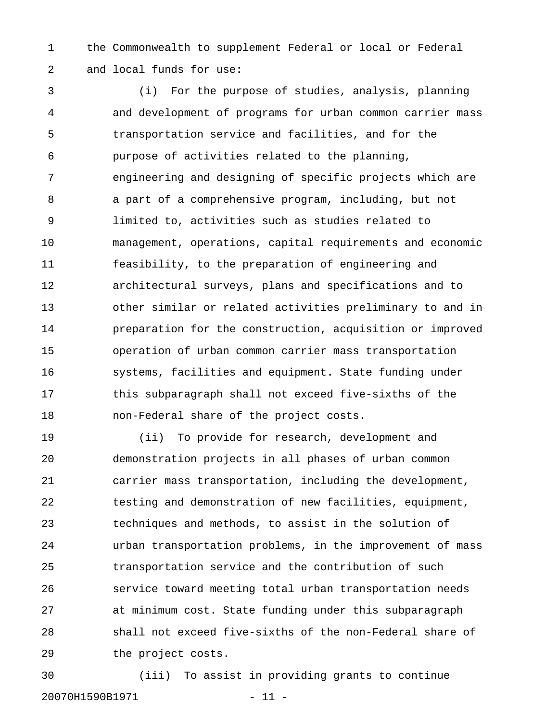1 the Commonwealth to supplement Federal or local or Federal 2 and local funds for use:

3 (i) For the purpose of studies, analysis, planning 4 and development of programs for urban common carrier mass 5 transportation service and facilities, and for the 6 purpose of activities related to the planning, 7 engineering and designing of specific projects which are 8 a part of a comprehensive program, including, but not 9 limited to, activities such as studies related to 10 management, operations, capital requirements and economic 11 feasibility, to the preparation of engineering and 12 architectural surveys, plans and specifications and to 13 other similar or related activities preliminary to and in 14 preparation for the construction, acquisition or improved 15 operation of urban common carrier mass transportation 16 systems, facilities and equipment. State funding under 17 this subparagraph shall not exceed five-sixths of the 18 non-Federal share of the project costs.

19 (ii) To provide for research, development and 20 demonstration projects in all phases of urban common 21 carrier mass transportation, including the development, 22 testing and demonstration of new facilities, equipment, 23 techniques and methods, to assist in the solution of 24 urban transportation problems, in the improvement of mass 25 transportation service and the contribution of such 26 service toward meeting total urban transportation needs 27 at minimum cost. State funding under this subparagraph 28 shall not exceed five-sixths of the non-Federal share of 29 the project costs.

30 (iii) To assist in providing grants to continue 20070H1590B1971 - 11 -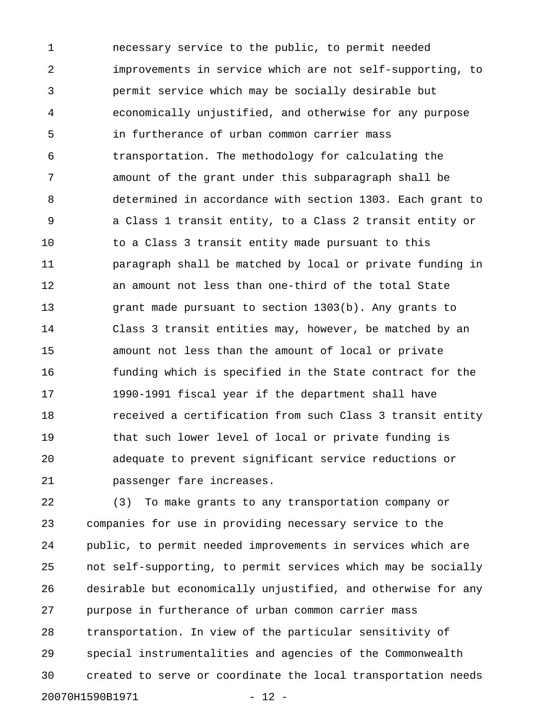1 necessary service to the public, to permit needed 2 improvements in service which are not self-supporting, to 3 permit service which may be socially desirable but 4 economically unjustified, and otherwise for any purpose 5 in furtherance of urban common carrier mass 6 transportation. The methodology for calculating the 7 amount of the grant under this subparagraph shall be 8 determined in accordance with section 1303. Each grant to 9 a Class 1 transit entity, to a Class 2 transit entity or 10 to a Class 3 transit entity made pursuant to this 11 paragraph shall be matched by local or private funding in 12 an amount not less than one-third of the total State 13 grant made pursuant to section 1303(b). Any grants to 14 Class 3 transit entities may, however, be matched by an 15 amount not less than the amount of local or private 16 funding which is specified in the State contract for the 17 1990-1991 fiscal year if the department shall have 18 received a certification from such Class 3 transit entity 19 that such lower level of local or private funding is 20 adequate to prevent significant service reductions or 21 passenger fare increases.

22 (3) To make grants to any transportation company or 23 companies for use in providing necessary service to the 24 public, to permit needed improvements in services which are 25 not self-supporting, to permit services which may be socially 26 desirable but economically unjustified, and otherwise for any 27 purpose in furtherance of urban common carrier mass 28 transportation. In view of the particular sensitivity of 29 special instrumentalities and agencies of the Commonwealth 30 created to serve or coordinate the local transportation needs 20070H1590B1971 - 12 -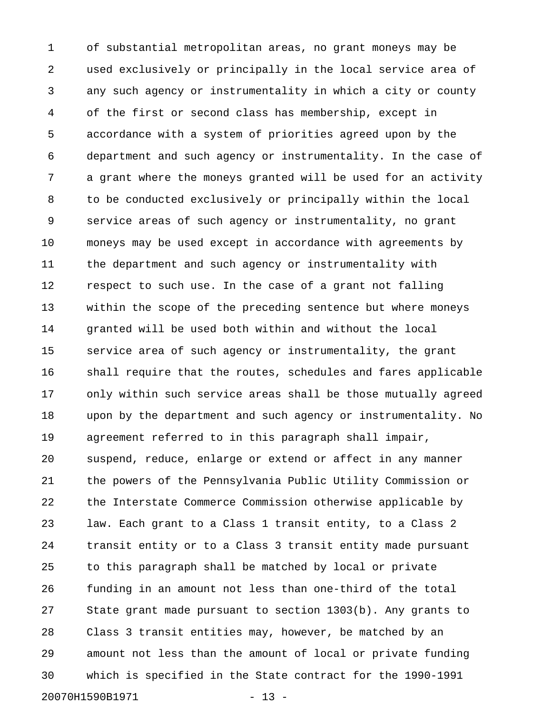1 of substantial metropolitan areas, no grant moneys may be 2 used exclusively or principally in the local service area of 3 any such agency or instrumentality in which a city or county 4 of the first or second class has membership, except in 5 accordance with a system of priorities agreed upon by the 6 department and such agency or instrumentality. In the case of 7 a grant where the moneys granted will be used for an activity 8 to be conducted exclusively or principally within the local 9 service areas of such agency or instrumentality, no grant 10 moneys may be used except in accordance with agreements by 11 the department and such agency or instrumentality with 12 respect to such use. In the case of a grant not falling 13 within the scope of the preceding sentence but where moneys 14 granted will be used both within and without the local 15 service area of such agency or instrumentality, the grant 16 shall require that the routes, schedules and fares applicable 17 only within such service areas shall be those mutually agreed 18 upon by the department and such agency or instrumentality. No 19 agreement referred to in this paragraph shall impair, 20 suspend, reduce, enlarge or extend or affect in any manner 21 the powers of the Pennsylvania Public Utility Commission or 22 the Interstate Commerce Commission otherwise applicable by 23 law. Each grant to a Class 1 transit entity, to a Class 2 24 transit entity or to a Class 3 transit entity made pursuant 25 to this paragraph shall be matched by local or private 26 funding in an amount not less than one-third of the total 27 State grant made pursuant to section 1303(b). Any grants to 28 Class 3 transit entities may, however, be matched by an 29 amount not less than the amount of local or private funding 30 which is specified in the State contract for the 1990-1991 20070H1590B1971 - 13 -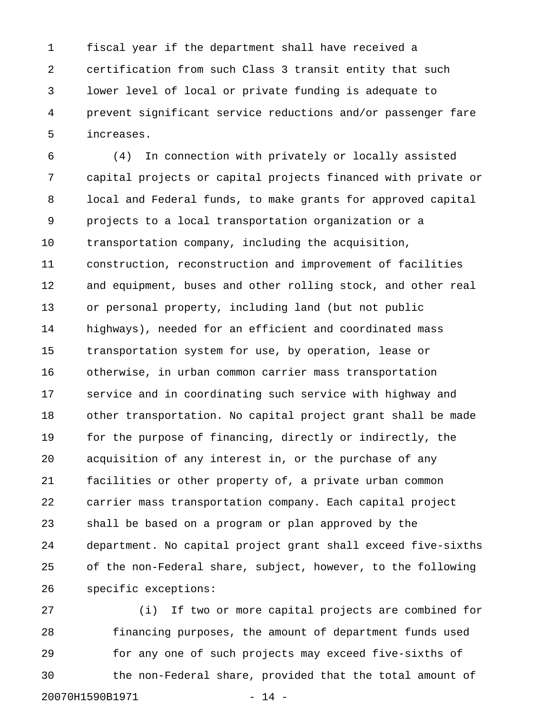1 fiscal year if the department shall have received a 2 certification from such Class 3 transit entity that such 3 lower level of local or private funding is adequate to 4 prevent significant service reductions and/or passenger fare 5 increases.

6 (4) In connection with privately or locally assisted 7 capital projects or capital projects financed with private or 8 local and Federal funds, to make grants for approved capital 9 projects to a local transportation organization or a 10 transportation company, including the acquisition, 11 construction, reconstruction and improvement of facilities 12 and equipment, buses and other rolling stock, and other real 13 or personal property, including land (but not public 14 highways), needed for an efficient and coordinated mass 15 transportation system for use, by operation, lease or 16 otherwise, in urban common carrier mass transportation 17 service and in coordinating such service with highway and 18 other transportation. No capital project grant shall be made 19 for the purpose of financing, directly or indirectly, the 20 acquisition of any interest in, or the purchase of any 21 facilities or other property of, a private urban common 22 carrier mass transportation company. Each capital project 23 shall be based on a program or plan approved by the 24 department. No capital project grant shall exceed five-sixths 25 of the non-Federal share, subject, however, to the following 26 specific exceptions:

27 (i) If two or more capital projects are combined for 28 financing purposes, the amount of department funds used 29 for any one of such projects may exceed five-sixths of 30 the non-Federal share, provided that the total amount of 20070H1590B1971 - 14 -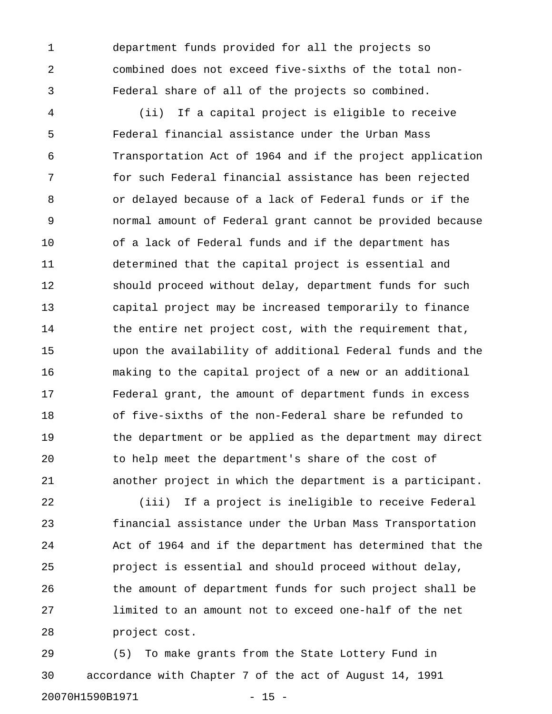1 department funds provided for all the projects so 2 combined does not exceed five-sixths of the total non-3 Federal share of all of the projects so combined.

4 (ii) If a capital project is eligible to receive 5 Federal financial assistance under the Urban Mass 6 Transportation Act of 1964 and if the project application 7 for such Federal financial assistance has been rejected 8 or delayed because of a lack of Federal funds or if the 9 normal amount of Federal grant cannot be provided because 10 of a lack of Federal funds and if the department has 11 determined that the capital project is essential and 12 should proceed without delay, department funds for such 13 capital project may be increased temporarily to finance 14 the entire net project cost, with the requirement that, 15 upon the availability of additional Federal funds and the 16 making to the capital project of a new or an additional 17 Federal grant, the amount of department funds in excess 18 of five-sixths of the non-Federal share be refunded to 19 the department or be applied as the department may direct 20 to help meet the department's share of the cost of 21 another project in which the department is a participant.

22 (iii) If a project is ineligible to receive Federal 23 financial assistance under the Urban Mass Transportation 24 Act of 1964 and if the department has determined that the 25 project is essential and should proceed without delay, 26 the amount of department funds for such project shall be 27 limited to an amount not to exceed one-half of the net 28 project cost.

29 (5) To make grants from the State Lottery Fund in 30 accordance with Chapter 7 of the act of August 14, 1991 20070H1590B1971 - 15 -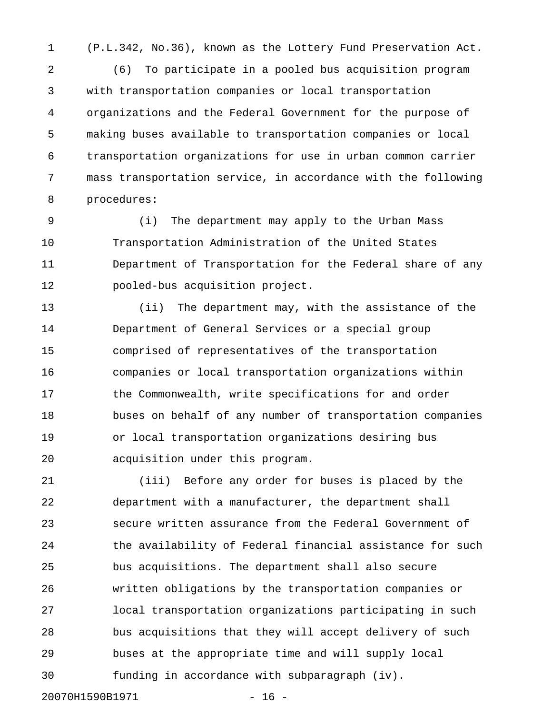1 (P.L.342, No.36), known as the Lottery Fund Preservation Act.

2 (6) To participate in a pooled bus acquisition program 3 with transportation companies or local transportation 4 organizations and the Federal Government for the purpose of 5 making buses available to transportation companies or local 6 transportation organizations for use in urban common carrier 7 mass transportation service, in accordance with the following 8 procedures:

9 (i) The department may apply to the Urban Mass 10 Transportation Administration of the United States 11 Department of Transportation for the Federal share of any 12 pooled-bus acquisition project.

13 (ii) The department may, with the assistance of the 14 Department of General Services or a special group 15 comprised of representatives of the transportation 16 companies or local transportation organizations within 17 the Commonwealth, write specifications for and order 18 buses on behalf of any number of transportation companies 19 or local transportation organizations desiring bus 20 acquisition under this program.

21 (iii) Before any order for buses is placed by the 22 department with a manufacturer, the department shall 23 secure written assurance from the Federal Government of 24 the availability of Federal financial assistance for such 25 bus acquisitions. The department shall also secure 26 written obligations by the transportation companies or 27 local transportation organizations participating in such 28 bus acquisitions that they will accept delivery of such 29 buses at the appropriate time and will supply local 30 funding in accordance with subparagraph (iv).

20070H1590B1971 - 16 -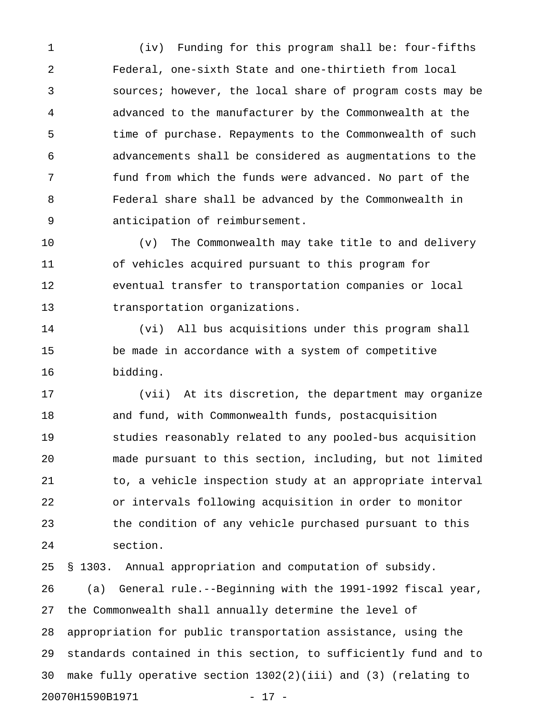1 (iv) Funding for this program shall be: four-fifths 2 Federal, one-sixth State and one-thirtieth from local 3 sources; however, the local share of program costs may be 4 advanced to the manufacturer by the Commonwealth at the 5 time of purchase. Repayments to the Commonwealth of such 6 advancements shall be considered as augmentations to the 7 fund from which the funds were advanced. No part of the 8 Federal share shall be advanced by the Commonwealth in 9 anticipation of reimbursement.

10 (v) The Commonwealth may take title to and delivery 11 of vehicles acquired pursuant to this program for 12 eventual transfer to transportation companies or local 13 transportation organizations.

14 (vi) All bus acquisitions under this program shall 15 be made in accordance with a system of competitive 16 bidding.

17 (vii) At its discretion, the department may organize 18 and fund, with Commonwealth funds, postacquisition 19 studies reasonably related to any pooled-bus acquisition 20 made pursuant to this section, including, but not limited 21 to, a vehicle inspection study at an appropriate interval 22 or intervals following acquisition in order to monitor 23 the condition of any vehicle purchased pursuant to this 24 section.

25 § 1303. Annual appropriation and computation of subsidy. 26 (a) General rule.--Beginning with the 1991-1992 fiscal year, 27 the Commonwealth shall annually determine the level of 28 appropriation for public transportation assistance, using the 29 standards contained in this section, to sufficiently fund and to 30 make fully operative section 1302(2)(iii) and (3) (relating to 20070H1590B1971 - 17 -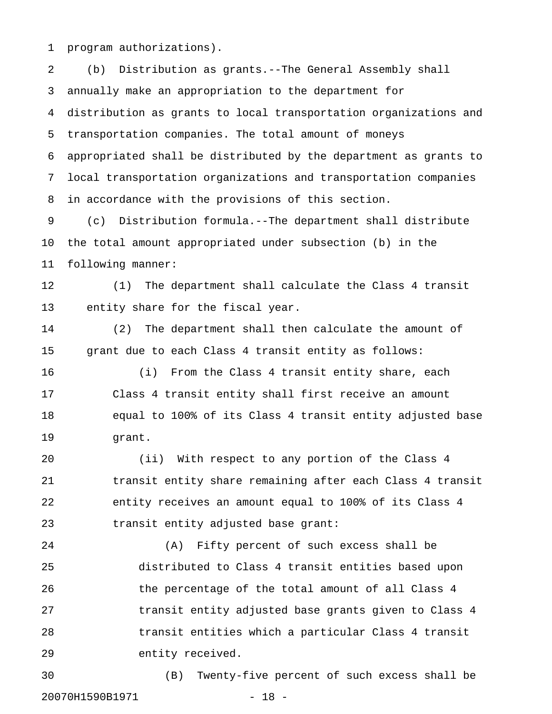1 program authorizations).

2 (b) Distribution as grants.--The General Assembly shall 3 annually make an appropriation to the department for 4 distribution as grants to local transportation organizations and 5 transportation companies. The total amount of moneys 6 appropriated shall be distributed by the department as grants to 7 local transportation organizations and transportation companies 8 in accordance with the provisions of this section. 9 (c) Distribution formula.--The department shall distribute 10 the total amount appropriated under subsection (b) in the 11 following manner: 12 (1) The department shall calculate the Class 4 transit 13 entity share for the fiscal year. 14 (2) The department shall then calculate the amount of 15 grant due to each Class 4 transit entity as follows: 16 (i) From the Class 4 transit entity share, each 17 Class 4 transit entity shall first receive an amount 18 equal to 100% of its Class 4 transit entity adjusted base 19 grant. 20 (ii) With respect to any portion of the Class 4 21 transit entity share remaining after each Class 4 transit 22 entity receives an amount equal to 100% of its Class 4 23 transit entity adjusted base grant: 24 (A) Fifty percent of such excess shall be 25 distributed to Class 4 transit entities based upon 26 the percentage of the total amount of all Class 4 27 **transit entity adjusted base grants given to Class 4** 28 transit entities which a particular Class 4 transit 29 entity received. 30 (B) Twenty-five percent of such excess shall be

20070H1590B1971 - 18 -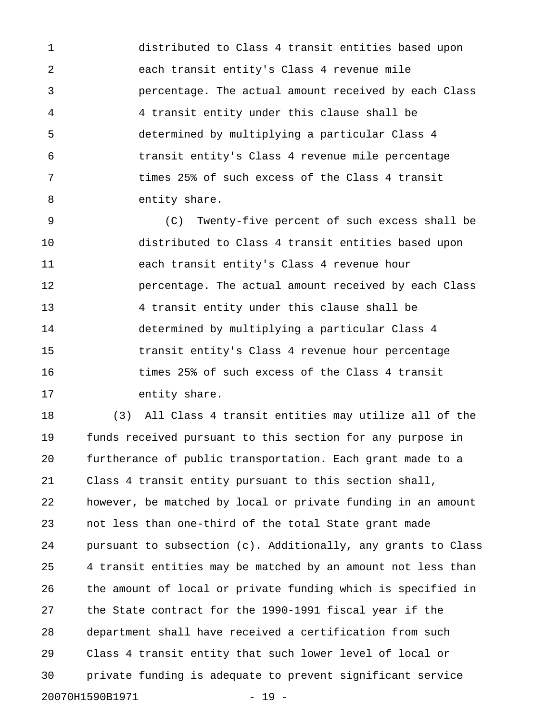1 distributed to Class 4 transit entities based upon 2 each transit entity's Class 4 revenue mile 3 percentage. The actual amount received by each Class 4 4 transit entity under this clause shall be 5 determined by multiplying a particular Class 4 6 transit entity's Class 4 revenue mile percentage 7 times 25% of such excess of the Class 4 transit 8 entity share.

9 (C) Twenty-five percent of such excess shall be 10 distributed to Class 4 transit entities based upon 11 each transit entity's Class 4 revenue hour 12 **percentage.** The actual amount received by each Class 13 4 transit entity under this clause shall be 14 determined by multiplying a particular Class 4 15 transit entity's Class 4 revenue hour percentage 16 times 25% of such excess of the Class 4 transit 17 entity share.

18 (3) All Class 4 transit entities may utilize all of the 19 funds received pursuant to this section for any purpose in 20 furtherance of public transportation. Each grant made to a 21 Class 4 transit entity pursuant to this section shall, 22 however, be matched by local or private funding in an amount 23 not less than one-third of the total State grant made 24 pursuant to subsection (c). Additionally, any grants to Class 25 4 transit entities may be matched by an amount not less than 26 the amount of local or private funding which is specified in 27 the State contract for the 1990-1991 fiscal year if the 28 department shall have received a certification from such 29 Class 4 transit entity that such lower level of local or 30 private funding is adequate to prevent significant service 20070H1590B1971 - 19 -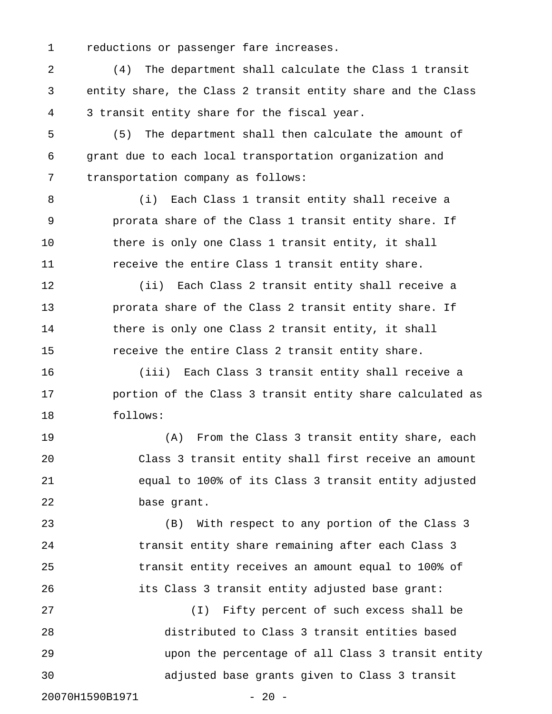1 reductions or passenger fare increases.

2 (4) The department shall calculate the Class 1 transit 3 entity share, the Class 2 transit entity share and the Class 4 3 transit entity share for the fiscal year.

5 (5) The department shall then calculate the amount of 6 grant due to each local transportation organization and 7 transportation company as follows:

8 (i) Each Class 1 transit entity shall receive a 9 prorata share of the Class 1 transit entity share. If 10 there is only one Class 1 transit entity, it shall 11 receive the entire Class 1 transit entity share.

12 (ii) Each Class 2 transit entity shall receive a 13 prorata share of the Class 2 transit entity share. If 14 there is only one Class 2 transit entity, it shall 15 receive the entire Class 2 transit entity share.

16 (iii) Each Class 3 transit entity shall receive a 17 **portion of the Class 3 transit entity share calculated as** 18 follows:

19 (A) From the Class 3 transit entity share, each 20 Class 3 transit entity shall first receive an amount 21 equal to 100% of its Class 3 transit entity adjusted 22 base grant.

23 (B) With respect to any portion of the Class 3 24 transit entity share remaining after each Class 3 25 transit entity receives an amount equal to 100% of 26 its Class 3 transit entity adjusted base grant:

27 (I) Fifty percent of such excess shall be 28 distributed to Class 3 transit entities based 29 upon the percentage of all Class 3 transit entity 30 adjusted base grants given to Class 3 transit

20070H1590B1971 - 20 -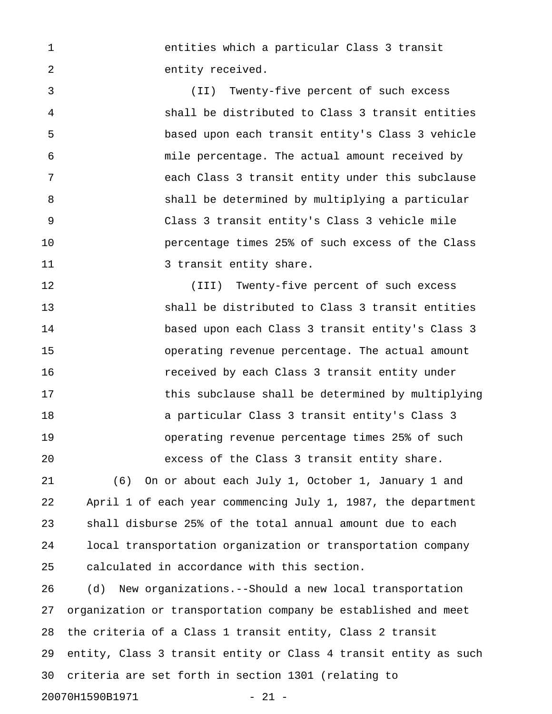1 entities which a particular Class 3 transit 2 entity received.

3 (II) Twenty-five percent of such excess 4 shall be distributed to Class 3 transit entities 5 based upon each transit entity's Class 3 vehicle 6 mile percentage. The actual amount received by 7 each Class 3 transit entity under this subclause 8 shall be determined by multiplying a particular 9 Class 3 transit entity's Class 3 vehicle mile 10 percentage times 25% of such excess of the Class 11 3 transit entity share.

12 (III) Twenty-five percent of such excess 13 shall be distributed to Class 3 transit entities 14 based upon each Class 3 transit entity's Class 3 15 operating revenue percentage. The actual amount 16 received by each Class 3 transit entity under 17 this subclause shall be determined by multiplying 18 a particular Class 3 transit entity's Class 3 19 operating revenue percentage times 25% of such 20 excess of the Class 3 transit entity share.

21 (6) On or about each July 1, October 1, January 1 and 22 April 1 of each year commencing July 1, 1987, the department 23 shall disburse 25% of the total annual amount due to each 24 local transportation organization or transportation company 25 calculated in accordance with this section.

26 (d) New organizations.--Should a new local transportation 27 organization or transportation company be established and meet 28 the criteria of a Class 1 transit entity, Class 2 transit 29 entity, Class 3 transit entity or Class 4 transit entity as such 30 criteria are set forth in section 1301 (relating to 20070H1590B1971 - 21 -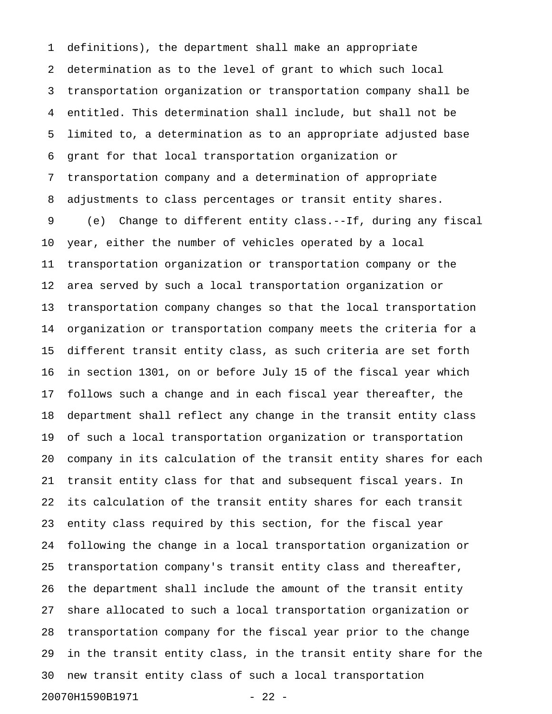1 definitions), the department shall make an appropriate 2 determination as to the level of grant to which such local 3 transportation organization or transportation company shall be 4 entitled. This determination shall include, but shall not be 5 limited to, a determination as to an appropriate adjusted base 6 grant for that local transportation organization or 7 transportation company and a determination of appropriate 8 adjustments to class percentages or transit entity shares. 9 (e) Change to different entity class.--If, during any fiscal 10 year, either the number of vehicles operated by a local 11 transportation organization or transportation company or the 12 area served by such a local transportation organization or 13 transportation company changes so that the local transportation 14 organization or transportation company meets the criteria for a 15 different transit entity class, as such criteria are set forth 16 in section 1301, on or before July 15 of the fiscal year which 17 follows such a change and in each fiscal year thereafter, the 18 department shall reflect any change in the transit entity class 19 of such a local transportation organization or transportation 20 company in its calculation of the transit entity shares for each 21 transit entity class for that and subsequent fiscal years. In 22 its calculation of the transit entity shares for each transit 23 entity class required by this section, for the fiscal year 24 following the change in a local transportation organization or 25 transportation company's transit entity class and thereafter, 26 the department shall include the amount of the transit entity 27 share allocated to such a local transportation organization or 28 transportation company for the fiscal year prior to the change 29 in the transit entity class, in the transit entity share for the 30 new transit entity class of such a local transportation 20070H1590B1971 - 22 -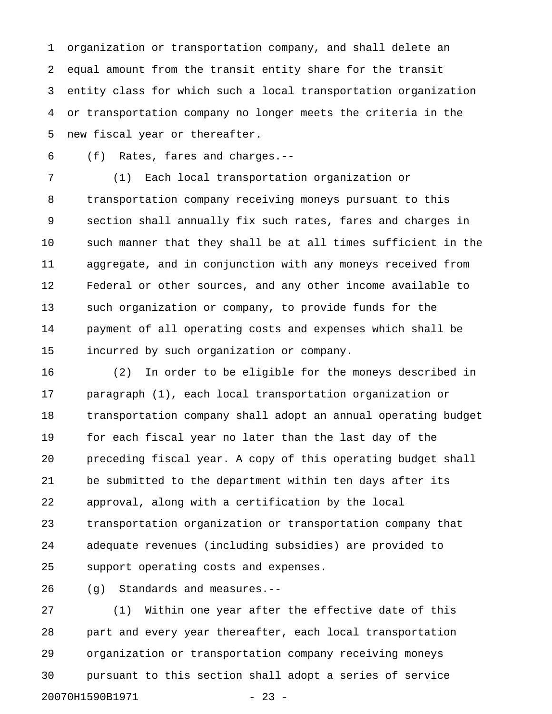1 organization or transportation company, and shall delete an 2 equal amount from the transit entity share for the transit 3 entity class for which such a local transportation organization 4 or transportation company no longer meets the criteria in the 5 new fiscal year or thereafter.

6 (f) Rates, fares and charges.--

7 (1) Each local transportation organization or 8 transportation company receiving moneys pursuant to this 9 section shall annually fix such rates, fares and charges in 10 such manner that they shall be at all times sufficient in the 11 aggregate, and in conjunction with any moneys received from 12 Federal or other sources, and any other income available to 13 such organization or company, to provide funds for the 14 payment of all operating costs and expenses which shall be 15 incurred by such organization or company.

16 (2) In order to be eligible for the moneys described in 17 paragraph (1), each local transportation organization or 18 transportation company shall adopt an annual operating budget 19 for each fiscal year no later than the last day of the 20 preceding fiscal year. A copy of this operating budget shall 21 be submitted to the department within ten days after its 22 approval, along with a certification by the local 23 transportation organization or transportation company that 24 adequate revenues (including subsidies) are provided to 25 support operating costs and expenses.

26 (g) Standards and measures.--

27 (1) Within one year after the effective date of this 28 part and every year thereafter, each local transportation 29 organization or transportation company receiving moneys 30 pursuant to this section shall adopt a series of service 20070H1590B1971 - 23 -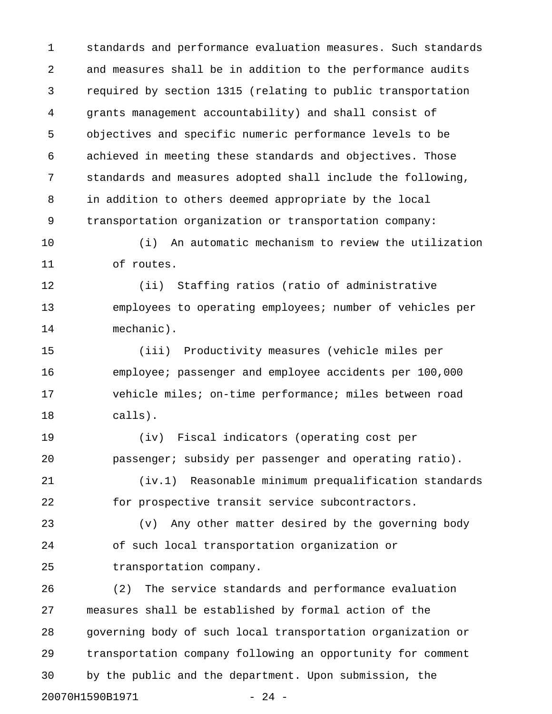1 standards and performance evaluation measures. Such standards 2 and measures shall be in addition to the performance audits 3 required by section 1315 (relating to public transportation 4 grants management accountability) and shall consist of 5 objectives and specific numeric performance levels to be 6 achieved in meeting these standards and objectives. Those 7 standards and measures adopted shall include the following, 8 in addition to others deemed appropriate by the local 9 transportation organization or transportation company:

10 (i) An automatic mechanism to review the utilization 11 of routes.

12 (ii) Staffing ratios (ratio of administrative 13 employees to operating employees; number of vehicles per 14 mechanic).

15 (iii) Productivity measures (vehicle miles per 16 employee; passenger and employee accidents per 100,000 17 vehicle miles; on-time performance; miles between road 18 calls).

19 (iv) Fiscal indicators (operating cost per 20 passenger; subsidy per passenger and operating ratio).

21 (iv.1) Reasonable minimum prequalification standards 22 for prospective transit service subcontractors.

23 (v) Any other matter desired by the governing body 24 of such local transportation organization or 25 transportation company.

26 (2) The service standards and performance evaluation 27 measures shall be established by formal action of the 28 governing body of such local transportation organization or 29 transportation company following an opportunity for comment 30 by the public and the department. Upon submission, the 20070H1590B1971 - 24 -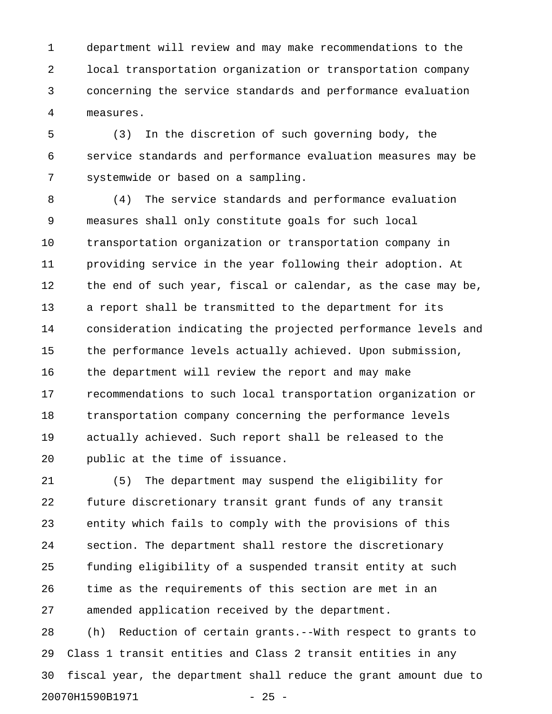1 department will review and may make recommendations to the 2 local transportation organization or transportation company 3 concerning the service standards and performance evaluation 4 measures.

5 (3) In the discretion of such governing body, the 6 service standards and performance evaluation measures may be 7 systemwide or based on a sampling.

8 (4) The service standards and performance evaluation 9 measures shall only constitute goals for such local 10 transportation organization or transportation company in 11 providing service in the year following their adoption. At 12 the end of such year, fiscal or calendar, as the case may be, 13 a report shall be transmitted to the department for its 14 consideration indicating the projected performance levels and 15 the performance levels actually achieved. Upon submission, 16 the department will review the report and may make 17 recommendations to such local transportation organization or 18 transportation company concerning the performance levels 19 actually achieved. Such report shall be released to the 20 public at the time of issuance.

21 (5) The department may suspend the eligibility for 22 future discretionary transit grant funds of any transit 23 entity which fails to comply with the provisions of this 24 section. The department shall restore the discretionary 25 funding eligibility of a suspended transit entity at such 26 time as the requirements of this section are met in an 27 amended application received by the department.

28 (h) Reduction of certain grants.--With respect to grants to 29 Class 1 transit entities and Class 2 transit entities in any 30 fiscal year, the department shall reduce the grant amount due to 20070H1590B1971 - 25 -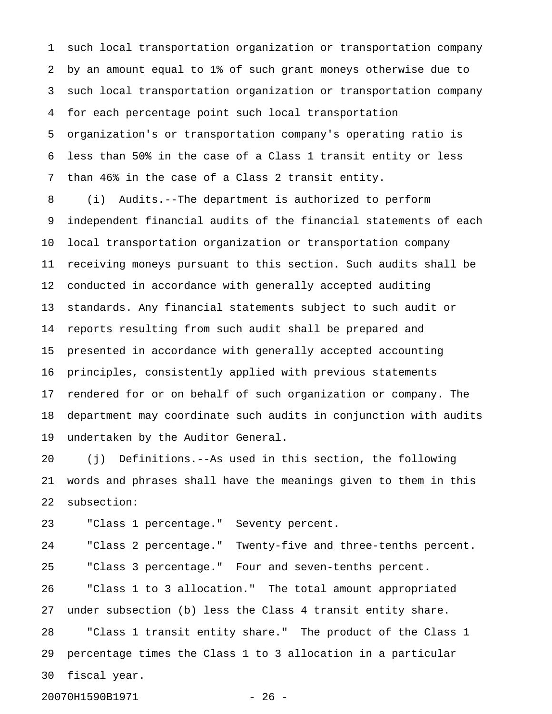1 such local transportation organization or transportation company 2 by an amount equal to 1% of such grant moneys otherwise due to 3 such local transportation organization or transportation company 4 for each percentage point such local transportation 5 organization's or transportation company's operating ratio is 6 less than 50% in the case of a Class 1 transit entity or less 7 than 46% in the case of a Class 2 transit entity.

8 (i) Audits.--The department is authorized to perform 9 independent financial audits of the financial statements of each 10 local transportation organization or transportation company 11 receiving moneys pursuant to this section. Such audits shall be 12 conducted in accordance with generally accepted auditing 13 standards. Any financial statements subject to such audit or 14 reports resulting from such audit shall be prepared and 15 presented in accordance with generally accepted accounting 16 principles, consistently applied with previous statements 17 rendered for or on behalf of such organization or company. The 18 department may coordinate such audits in conjunction with audits 19 undertaken by the Auditor General.

20 (j) Definitions.--As used in this section, the following 21 words and phrases shall have the meanings given to them in this 22 subsection:

23 "Class 1 percentage." Seventy percent.

20070H1590B1971 - 26 -

24 "Class 2 percentage." Twenty-five and three-tenths percent. 25 "Class 3 percentage." Four and seven-tenths percent. 26 "Class 1 to 3 allocation." The total amount appropriated 27 under subsection (b) less the Class 4 transit entity share. 28 "Class 1 transit entity share." The product of the Class 1 29 percentage times the Class 1 to 3 allocation in a particular 30 fiscal year.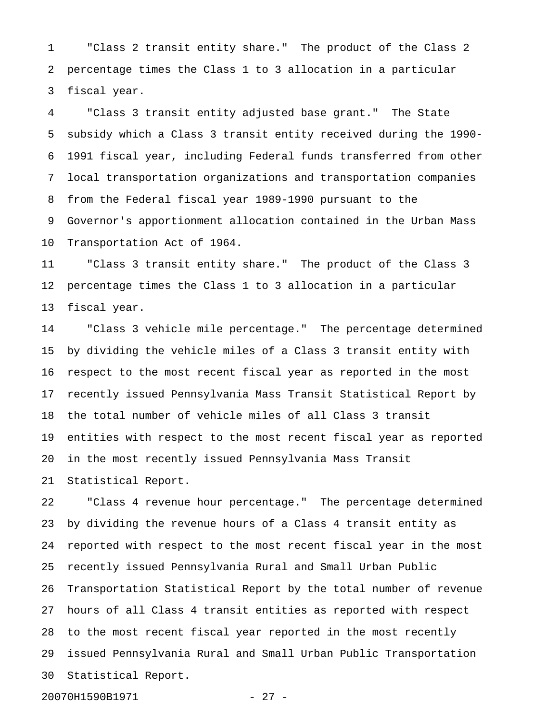1 "Class 2 transit entity share." The product of the Class 2 2 percentage times the Class 1 to 3 allocation in a particular 3 fiscal year.

4 "Class 3 transit entity adjusted base grant." The State 5 subsidy which a Class 3 transit entity received during the 1990- 6 1991 fiscal year, including Federal funds transferred from other 7 local transportation organizations and transportation companies 8 from the Federal fiscal year 1989-1990 pursuant to the 9 Governor's apportionment allocation contained in the Urban Mass 10 Transportation Act of 1964.

11 "Class 3 transit entity share." The product of the Class 3 12 percentage times the Class 1 to 3 allocation in a particular 13 fiscal year.

14 "Class 3 vehicle mile percentage." The percentage determined 15 by dividing the vehicle miles of a Class 3 transit entity with 16 respect to the most recent fiscal year as reported in the most 17 recently issued Pennsylvania Mass Transit Statistical Report by 18 the total number of vehicle miles of all Class 3 transit 19 entities with respect to the most recent fiscal year as reported 20 in the most recently issued Pennsylvania Mass Transit 21 Statistical Report.

22 "Class 4 revenue hour percentage." The percentage determined 23 by dividing the revenue hours of a Class 4 transit entity as 24 reported with respect to the most recent fiscal year in the most 25 recently issued Pennsylvania Rural and Small Urban Public 26 Transportation Statistical Report by the total number of revenue 27 hours of all Class 4 transit entities as reported with respect 28 to the most recent fiscal year reported in the most recently 29 issued Pennsylvania Rural and Small Urban Public Transportation 30 Statistical Report.

20070H1590B1971 - 27 -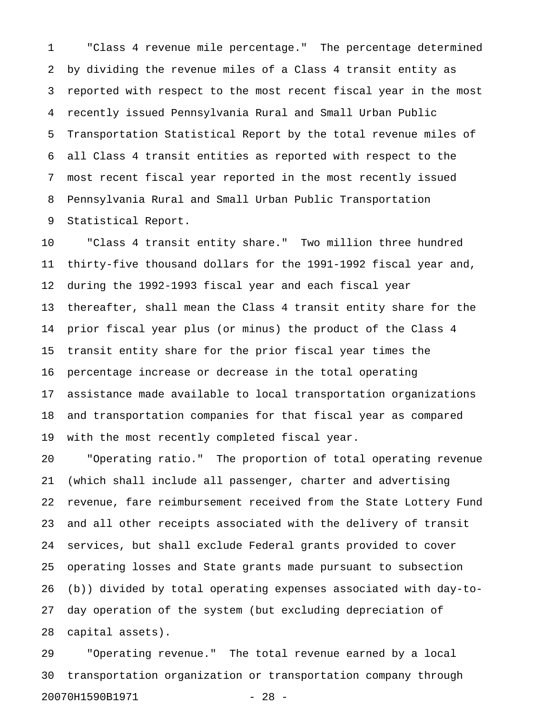1 "Class 4 revenue mile percentage." The percentage determined 2 by dividing the revenue miles of a Class 4 transit entity as 3 reported with respect to the most recent fiscal year in the most 4 recently issued Pennsylvania Rural and Small Urban Public 5 Transportation Statistical Report by the total revenue miles of 6 all Class 4 transit entities as reported with respect to the 7 most recent fiscal year reported in the most recently issued 8 Pennsylvania Rural and Small Urban Public Transportation 9 Statistical Report.

10 "Class 4 transit entity share." Two million three hundred 11 thirty-five thousand dollars for the 1991-1992 fiscal year and, 12 during the 1992-1993 fiscal year and each fiscal year 13 thereafter, shall mean the Class 4 transit entity share for the 14 prior fiscal year plus (or minus) the product of the Class 4 15 transit entity share for the prior fiscal year times the 16 percentage increase or decrease in the total operating 17 assistance made available to local transportation organizations 18 and transportation companies for that fiscal year as compared 19 with the most recently completed fiscal year.

20 "Operating ratio." The proportion of total operating revenue 21 (which shall include all passenger, charter and advertising 22 revenue, fare reimbursement received from the State Lottery Fund 23 and all other receipts associated with the delivery of transit 24 services, but shall exclude Federal grants provided to cover 25 operating losses and State grants made pursuant to subsection 26 (b)) divided by total operating expenses associated with day-to-27 day operation of the system (but excluding depreciation of 28 capital assets).

29 "Operating revenue." The total revenue earned by a local 30 transportation organization or transportation company through 20070H1590B1971 - 28 -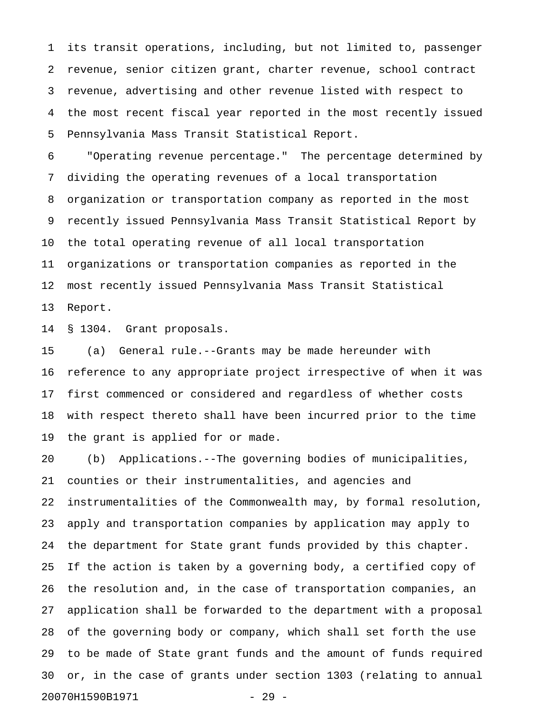1 its transit operations, including, but not limited to, passenger 2 revenue, senior citizen grant, charter revenue, school contract 3 revenue, advertising and other revenue listed with respect to 4 the most recent fiscal year reported in the most recently issued 5 Pennsylvania Mass Transit Statistical Report.

6 "Operating revenue percentage." The percentage determined by 7 dividing the operating revenues of a local transportation 8 organization or transportation company as reported in the most 9 recently issued Pennsylvania Mass Transit Statistical Report by 10 the total operating revenue of all local transportation 11 organizations or transportation companies as reported in the 12 most recently issued Pennsylvania Mass Transit Statistical 13 Report.

14 § 1304. Grant proposals.

15 (a) General rule.--Grants may be made hereunder with 16 reference to any appropriate project irrespective of when it was 17 first commenced or considered and regardless of whether costs 18 with respect thereto shall have been incurred prior to the time 19 the grant is applied for or made.

20 (b) Applications.--The governing bodies of municipalities, 21 counties or their instrumentalities, and agencies and 22 instrumentalities of the Commonwealth may, by formal resolution, 23 apply and transportation companies by application may apply to 24 the department for State grant funds provided by this chapter. 25 If the action is taken by a governing body, a certified copy of 26 the resolution and, in the case of transportation companies, an 27 application shall be forwarded to the department with a proposal 28 of the governing body or company, which shall set forth the use 29 to be made of State grant funds and the amount of funds required 30 or, in the case of grants under section 1303 (relating to annual 20070H1590B1971 - 29 -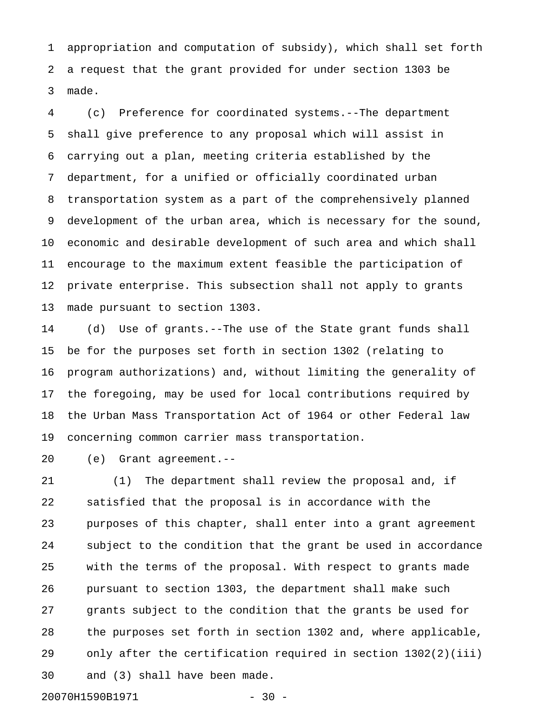1 appropriation and computation of subsidy), which shall set forth 2 a request that the grant provided for under section 1303 be 3 made.

4 (c) Preference for coordinated systems.--The department 5 shall give preference to any proposal which will assist in 6 carrying out a plan, meeting criteria established by the 7 department, for a unified or officially coordinated urban 8 transportation system as a part of the comprehensively planned 9 development of the urban area, which is necessary for the sound, 10 economic and desirable development of such area and which shall 11 encourage to the maximum extent feasible the participation of 12 private enterprise. This subsection shall not apply to grants 13 made pursuant to section 1303.

14 (d) Use of grants.--The use of the State grant funds shall 15 be for the purposes set forth in section 1302 (relating to 16 program authorizations) and, without limiting the generality of 17 the foregoing, may be used for local contributions required by 18 the Urban Mass Transportation Act of 1964 or other Federal law 19 concerning common carrier mass transportation.

20 (e) Grant agreement.--

21 (1) The department shall review the proposal and, if 22 satisfied that the proposal is in accordance with the 23 purposes of this chapter, shall enter into a grant agreement 24 subject to the condition that the grant be used in accordance 25 with the terms of the proposal. With respect to grants made 26 pursuant to section 1303, the department shall make such 27 grants subject to the condition that the grants be used for 28 the purposes set forth in section 1302 and, where applicable, 29 only after the certification required in section 1302(2)(iii) 30 and (3) shall have been made.

20070H1590B1971 - 30 -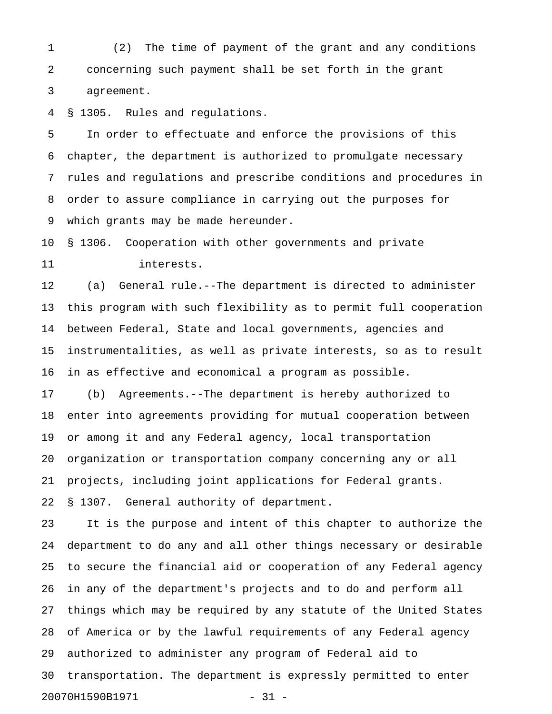1 (2) The time of payment of the grant and any conditions 2 concerning such payment shall be set forth in the grant 3 agreement.

4 § 1305. Rules and regulations.

5 In order to effectuate and enforce the provisions of this 6 chapter, the department is authorized to promulgate necessary 7 rules and regulations and prescribe conditions and procedures in 8 order to assure compliance in carrying out the purposes for 9 which grants may be made hereunder.

10 § 1306. Cooperation with other governments and private 11 interests.

12 (a) General rule.--The department is directed to administer 13 this program with such flexibility as to permit full cooperation 14 between Federal, State and local governments, agencies and 15 instrumentalities, as well as private interests, so as to result 16 in as effective and economical a program as possible.

17 (b) Agreements.--The department is hereby authorized to 18 enter into agreements providing for mutual cooperation between 19 or among it and any Federal agency, local transportation 20 organization or transportation company concerning any or all 21 projects, including joint applications for Federal grants. 22 § 1307. General authority of department.

23 It is the purpose and intent of this chapter to authorize the 24 department to do any and all other things necessary or desirable 25 to secure the financial aid or cooperation of any Federal agency 26 in any of the department's projects and to do and perform all 27 things which may be required by any statute of the United States 28 of America or by the lawful requirements of any Federal agency 29 authorized to administer any program of Federal aid to 30 transportation. The department is expressly permitted to enter 20070H1590B1971 - 31 -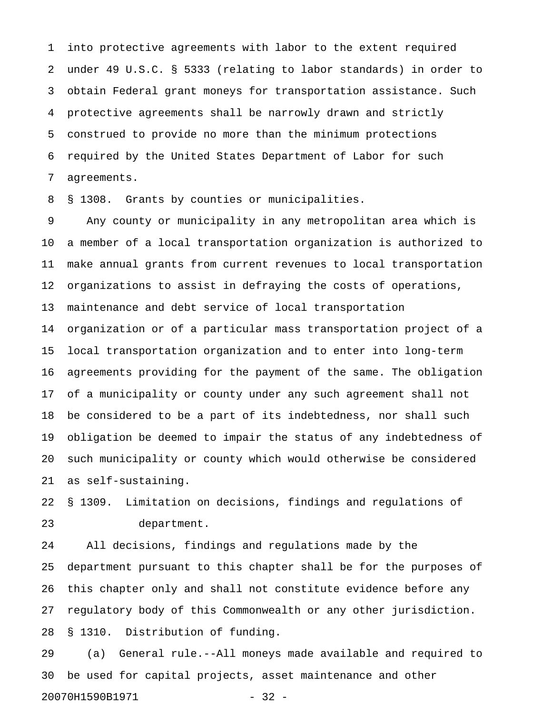1 into protective agreements with labor to the extent required 2 under 49 U.S.C. § 5333 (relating to labor standards) in order to 3 obtain Federal grant moneys for transportation assistance. Such 4 protective agreements shall be narrowly drawn and strictly 5 construed to provide no more than the minimum protections 6 required by the United States Department of Labor for such 7 agreements.

8 § 1308. Grants by counties or municipalities.

9 Any county or municipality in any metropolitan area which is 10 a member of a local transportation organization is authorized to 11 make annual grants from current revenues to local transportation 12 organizations to assist in defraying the costs of operations, 13 maintenance and debt service of local transportation 14 organization or of a particular mass transportation project of a 15 local transportation organization and to enter into long-term 16 agreements providing for the payment of the same. The obligation 17 of a municipality or county under any such agreement shall not 18 be considered to be a part of its indebtedness, nor shall such 19 obligation be deemed to impair the status of any indebtedness of 20 such municipality or county which would otherwise be considered 21 as self-sustaining.

22 § 1309. Limitation on decisions, findings and regulations of 23 department.

24 All decisions, findings and regulations made by the 25 department pursuant to this chapter shall be for the purposes of 26 this chapter only and shall not constitute evidence before any 27 regulatory body of this Commonwealth or any other jurisdiction. 28 § 1310. Distribution of funding.

29 (a) General rule.--All moneys made available and required to 30 be used for capital projects, asset maintenance and other 20070H1590B1971 - 32 -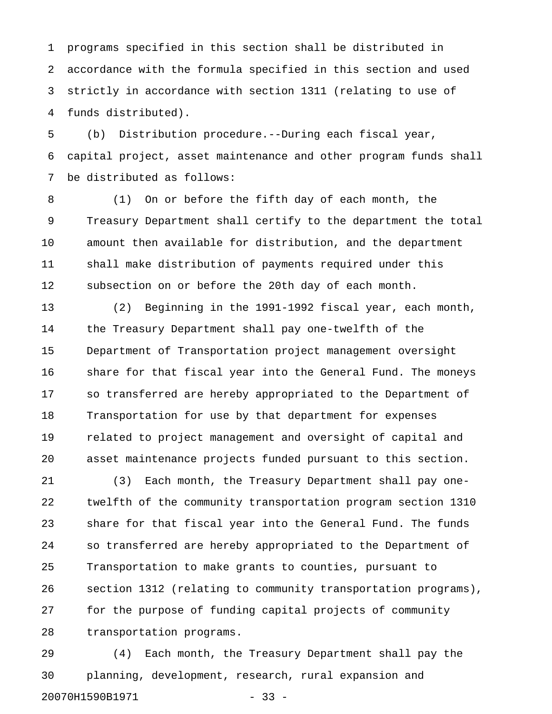1 programs specified in this section shall be distributed in 2 accordance with the formula specified in this section and used 3 strictly in accordance with section 1311 (relating to use of 4 funds distributed).

5 (b) Distribution procedure.--During each fiscal year, 6 capital project, asset maintenance and other program funds shall 7 be distributed as follows:

8 (1) On or before the fifth day of each month, the 9 Treasury Department shall certify to the department the total 10 amount then available for distribution, and the department 11 shall make distribution of payments required under this 12 subsection on or before the 20th day of each month.

13 (2) Beginning in the 1991-1992 fiscal year, each month, 14 the Treasury Department shall pay one-twelfth of the 15 Department of Transportation project management oversight 16 share for that fiscal year into the General Fund. The moneys 17 so transferred are hereby appropriated to the Department of 18 Transportation for use by that department for expenses 19 related to project management and oversight of capital and 20 asset maintenance projects funded pursuant to this section.

21 (3) Each month, the Treasury Department shall pay one-22 twelfth of the community transportation program section 1310 23 share for that fiscal year into the General Fund. The funds 24 so transferred are hereby appropriated to the Department of 25 Transportation to make grants to counties, pursuant to 26 section 1312 (relating to community transportation programs), 27 for the purpose of funding capital projects of community 28 transportation programs.

29 (4) Each month, the Treasury Department shall pay the 30 planning, development, research, rural expansion and 20070H1590B1971 - 33 -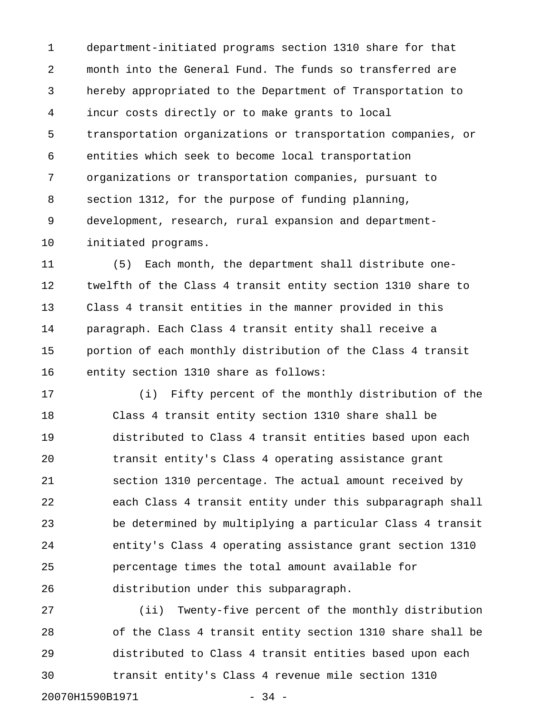1 department-initiated programs section 1310 share for that 2 month into the General Fund. The funds so transferred are 3 hereby appropriated to the Department of Transportation to 4 incur costs directly or to make grants to local 5 transportation organizations or transportation companies, or 6 entities which seek to become local transportation 7 organizations or transportation companies, pursuant to 8 section 1312, for the purpose of funding planning, 9 development, research, rural expansion and department-10 initiated programs.

11 (5) Each month, the department shall distribute one-12 twelfth of the Class 4 transit entity section 1310 share to 13 Class 4 transit entities in the manner provided in this 14 paragraph. Each Class 4 transit entity shall receive a 15 portion of each monthly distribution of the Class 4 transit 16 entity section 1310 share as follows:

17 (i) Fifty percent of the monthly distribution of the 18 Class 4 transit entity section 1310 share shall be 19 distributed to Class 4 transit entities based upon each 20 transit entity's Class 4 operating assistance grant 21 section 1310 percentage. The actual amount received by 22 each Class 4 transit entity under this subparagraph shall 23 be determined by multiplying a particular Class 4 transit 24 entity's Class 4 operating assistance grant section 1310 25 percentage times the total amount available for 26 distribution under this subparagraph.

27 (ii) Twenty-five percent of the monthly distribution 28 of the Class 4 transit entity section 1310 share shall be 29 distributed to Class 4 transit entities based upon each 30 transit entity's Class 4 revenue mile section 1310

20070H1590B1971 - 34 -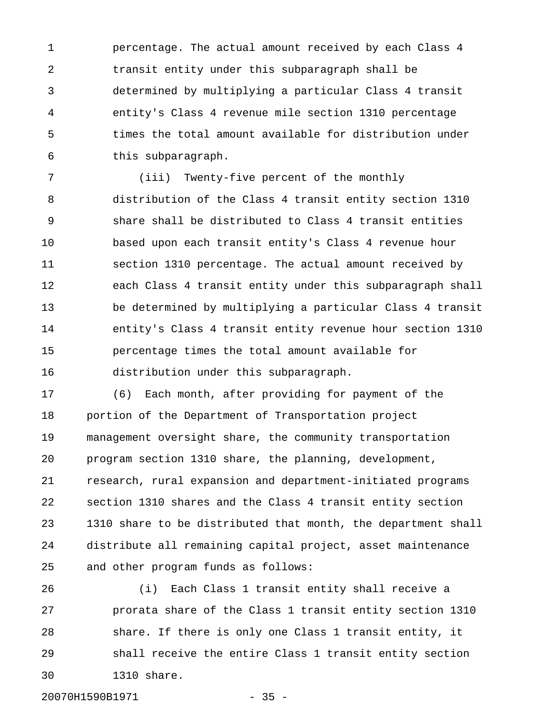1 percentage. The actual amount received by each Class 4 2 transit entity under this subparagraph shall be 3 determined by multiplying a particular Class 4 transit 4 entity's Class 4 revenue mile section 1310 percentage 5 times the total amount available for distribution under 6 this subparagraph.

7 (iii) Twenty-five percent of the monthly 8 distribution of the Class 4 transit entity section 1310 9 share shall be distributed to Class 4 transit entities 10 based upon each transit entity's Class 4 revenue hour 11 section 1310 percentage. The actual amount received by 12 each Class 4 transit entity under this subparagraph shall 13 be determined by multiplying a particular Class 4 transit 14 entity's Class 4 transit entity revenue hour section 1310 15 percentage times the total amount available for 16 distribution under this subparagraph.

17 (6) Each month, after providing for payment of the 18 portion of the Department of Transportation project 19 management oversight share, the community transportation 20 program section 1310 share, the planning, development, 21 research, rural expansion and department-initiated programs 22 section 1310 shares and the Class 4 transit entity section 23 1310 share to be distributed that month, the department shall 24 distribute all remaining capital project, asset maintenance 25 and other program funds as follows:

26 (i) Each Class 1 transit entity shall receive a 27 prorata share of the Class 1 transit entity section 1310 28 share. If there is only one Class 1 transit entity, it 29 shall receive the entire Class 1 transit entity section 30 1310 share.

20070H1590B1971 - 35 -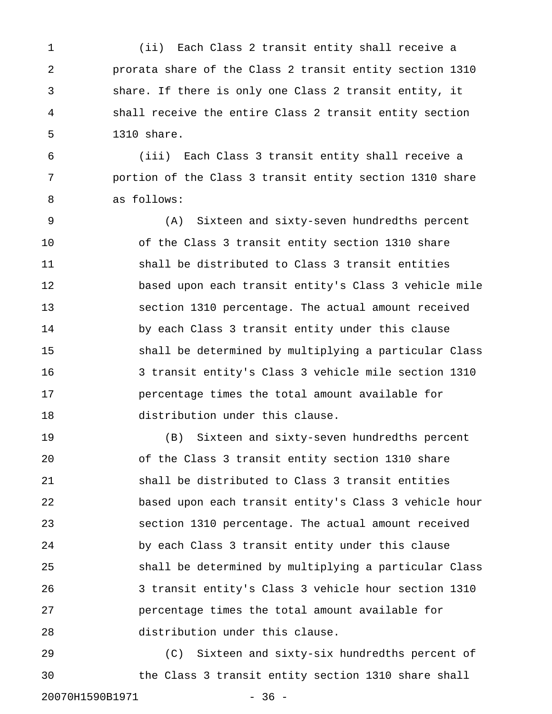1 (ii) Each Class 2 transit entity shall receive a 2 prorata share of the Class 2 transit entity section 1310 3 share. If there is only one Class 2 transit entity, it 4 shall receive the entire Class 2 transit entity section 5 1310 share.

6 (iii) Each Class 3 transit entity shall receive a 7 portion of the Class 3 transit entity section 1310 share 8 as follows:

9 (A) Sixteen and sixty-seven hundredths percent 10 of the Class 3 transit entity section 1310 share 11 shall be distributed to Class 3 transit entities 12 based upon each transit entity's Class 3 vehicle mile 13 section 1310 percentage. The actual amount received 14 by each Class 3 transit entity under this clause 15 shall be determined by multiplying a particular Class 16 3 transit entity's Class 3 vehicle mile section 1310 17 percentage times the total amount available for 18 distribution under this clause.

19 (B) Sixteen and sixty-seven hundredths percent 20 of the Class 3 transit entity section 1310 share 21 shall be distributed to Class 3 transit entities 22 based upon each transit entity's Class 3 vehicle hour 23 section 1310 percentage. The actual amount received 24 by each Class 3 transit entity under this clause 25 shall be determined by multiplying a particular Class 26 3 transit entity's Class 3 vehicle hour section 1310 27 percentage times the total amount available for 28 distribution under this clause.

29 (C) Sixteen and sixty-six hundredths percent of 30 the Class 3 transit entity section 1310 share shall 20070H1590B1971 - 36 -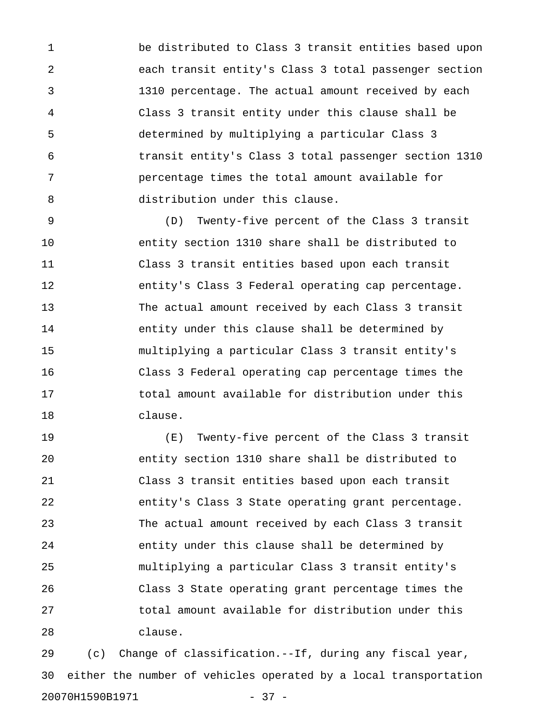1 be distributed to Class 3 transit entities based upon 2 each transit entity's Class 3 total passenger section 3 1310 percentage. The actual amount received by each 4 Class 3 transit entity under this clause shall be 5 determined by multiplying a particular Class 3 6 transit entity's Class 3 total passenger section 1310 7 percentage times the total amount available for 8 distribution under this clause.

9 (D) Twenty-five percent of the Class 3 transit 10 entity section 1310 share shall be distributed to 11 Class 3 transit entities based upon each transit 12 entity's Class 3 Federal operating cap percentage. 13 The actual amount received by each Class 3 transit 14 entity under this clause shall be determined by 15 multiplying a particular Class 3 transit entity's 16 Class 3 Federal operating cap percentage times the 17 total amount available for distribution under this 18 clause.

19 (E) Twenty-five percent of the Class 3 transit 20 entity section 1310 share shall be distributed to 21 Class 3 transit entities based upon each transit 22 entity's Class 3 State operating grant percentage. 23 The actual amount received by each Class 3 transit 24 entity under this clause shall be determined by 25 multiplying a particular Class 3 transit entity's 26 Class 3 State operating grant percentage times the 27 total amount available for distribution under this 28 clause.

29 (c) Change of classification.--If, during any fiscal year, 30 either the number of vehicles operated by a local transportation 20070H1590B1971 - 37 -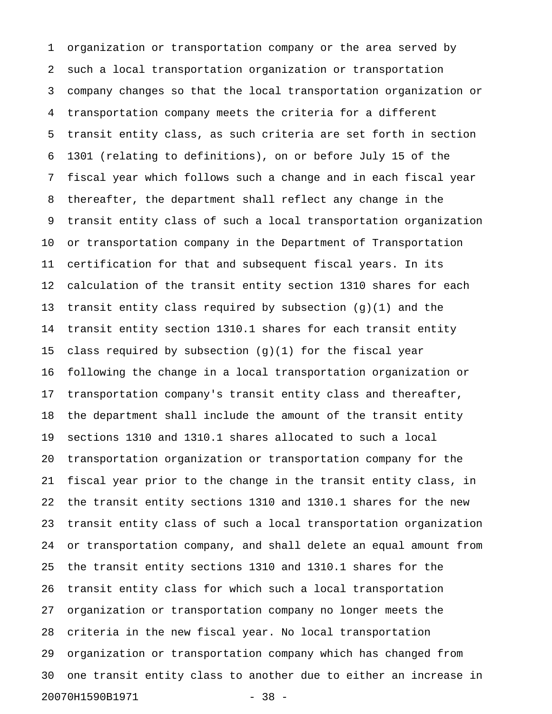1 organization or transportation company or the area served by 2 such a local transportation organization or transportation 3 company changes so that the local transportation organization or 4 transportation company meets the criteria for a different 5 transit entity class, as such criteria are set forth in section 6 1301 (relating to definitions), on or before July 15 of the 7 fiscal year which follows such a change and in each fiscal year 8 thereafter, the department shall reflect any change in the 9 transit entity class of such a local transportation organization 10 or transportation company in the Department of Transportation 11 certification for that and subsequent fiscal years. In its 12 calculation of the transit entity section 1310 shares for each 13 transit entity class required by subsection (g)(1) and the 14 transit entity section 1310.1 shares for each transit entity 15 class required by subsection  $(g)(1)$  for the fiscal year 16 following the change in a local transportation organization or 17 transportation company's transit entity class and thereafter, 18 the department shall include the amount of the transit entity 19 sections 1310 and 1310.1 shares allocated to such a local 20 transportation organization or transportation company for the 21 fiscal year prior to the change in the transit entity class, in 22 the transit entity sections 1310 and 1310.1 shares for the new 23 transit entity class of such a local transportation organization 24 or transportation company, and shall delete an equal amount from 25 the transit entity sections 1310 and 1310.1 shares for the 26 transit entity class for which such a local transportation 27 organization or transportation company no longer meets the 28 criteria in the new fiscal year. No local transportation 29 organization or transportation company which has changed from 30 one transit entity class to another due to either an increase in 20070H1590B1971 - 38 -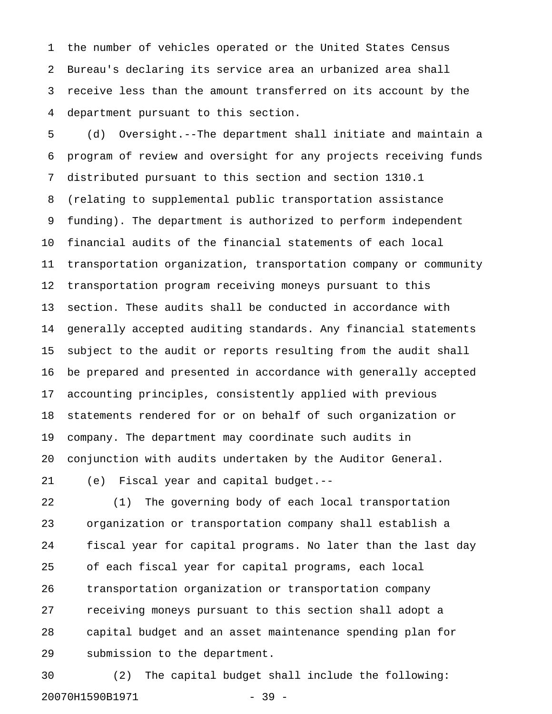1 the number of vehicles operated or the United States Census 2 Bureau's declaring its service area an urbanized area shall 3 receive less than the amount transferred on its account by the 4 department pursuant to this section.

5 (d) Oversight.--The department shall initiate and maintain a 6 program of review and oversight for any projects receiving funds 7 distributed pursuant to this section and section 1310.1 8 (relating to supplemental public transportation assistance 9 funding). The department is authorized to perform independent 10 financial audits of the financial statements of each local 11 transportation organization, transportation company or community 12 transportation program receiving moneys pursuant to this 13 section. These audits shall be conducted in accordance with 14 generally accepted auditing standards. Any financial statements 15 subject to the audit or reports resulting from the audit shall 16 be prepared and presented in accordance with generally accepted 17 accounting principles, consistently applied with previous 18 statements rendered for or on behalf of such organization or 19 company. The department may coordinate such audits in 20 conjunction with audits undertaken by the Auditor General.

21 (e) Fiscal year and capital budget.--

22 (1) The governing body of each local transportation 23 organization or transportation company shall establish a 24 fiscal year for capital programs. No later than the last day 25 of each fiscal year for capital programs, each local 26 transportation organization or transportation company 27 receiving moneys pursuant to this section shall adopt a 28 capital budget and an asset maintenance spending plan for 29 submission to the department.

30 (2) The capital budget shall include the following: 20070H1590B1971 - 39 -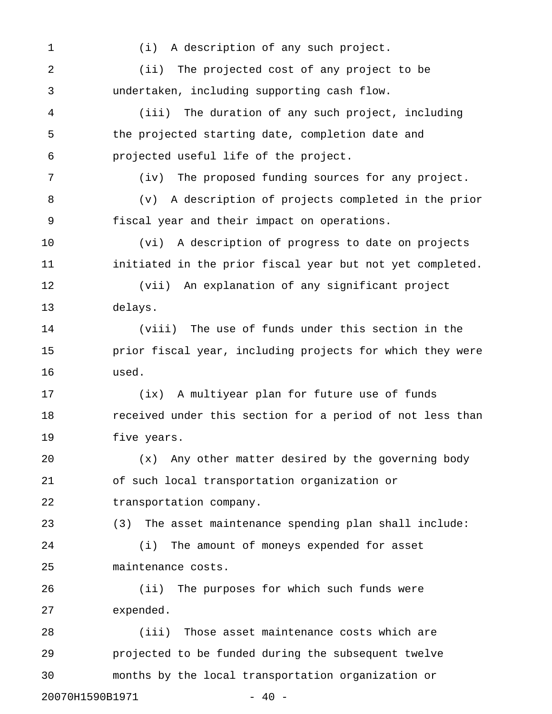1 (i) A description of any such project. 2 (ii) The projected cost of any project to be 3 undertaken, including supporting cash flow. 4 (iii) The duration of any such project, including 5 the projected starting date, completion date and 6 projected useful life of the project. 7 (iv) The proposed funding sources for any project. 8 (v) A description of projects completed in the prior 9 fiscal year and their impact on operations. 10 (vi) A description of progress to date on projects 11 initiated in the prior fiscal year but not yet completed. 12 (vii) An explanation of any significant project 13 delays. 14 (viii) The use of funds under this section in the 15 prior fiscal year, including projects for which they were 16 used. 17 (ix) A multiyear plan for future use of funds 18 received under this section for a period of not less than 19 five years. 20 (x) Any other matter desired by the governing body 21 of such local transportation organization or 22 transportation company. 23 (3) The asset maintenance spending plan shall include: 24 (i) The amount of moneys expended for asset 25 maintenance costs. 26 (ii) The purposes for which such funds were 27 expended. 28 (iii) Those asset maintenance costs which are 29 projected to be funded during the subsequent twelve 30 months by the local transportation organization or

20070H1590B1971 - 40 -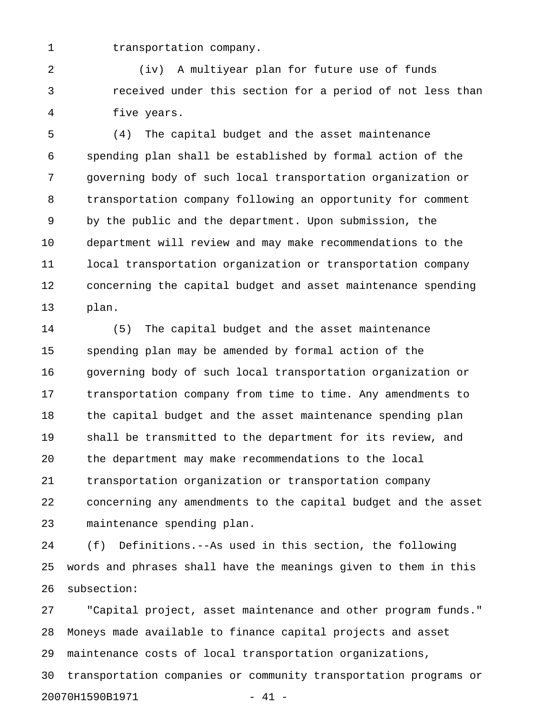1 transportation company.

2 (iv) A multiyear plan for future use of funds 3 received under this section for a period of not less than 4 five years.

5 (4) The capital budget and the asset maintenance 6 spending plan shall be established by formal action of the 7 governing body of such local transportation organization or 8 transportation company following an opportunity for comment 9 by the public and the department. Upon submission, the 10 department will review and may make recommendations to the 11 local transportation organization or transportation company 12 concerning the capital budget and asset maintenance spending 13 plan.

14 (5) The capital budget and the asset maintenance 15 spending plan may be amended by formal action of the 16 governing body of such local transportation organization or 17 transportation company from time to time. Any amendments to 18 the capital budget and the asset maintenance spending plan 19 shall be transmitted to the department for its review, and 20 the department may make recommendations to the local 21 transportation organization or transportation company 22 concerning any amendments to the capital budget and the asset 23 maintenance spending plan.

24 (f) Definitions.--As used in this section, the following 25 words and phrases shall have the meanings given to them in this 26 subsection:

27 "Capital project, asset maintenance and other program funds." 28 Moneys made available to finance capital projects and asset 29 maintenance costs of local transportation organizations, 30 transportation companies or community transportation programs or 20070H1590B1971 - 41 -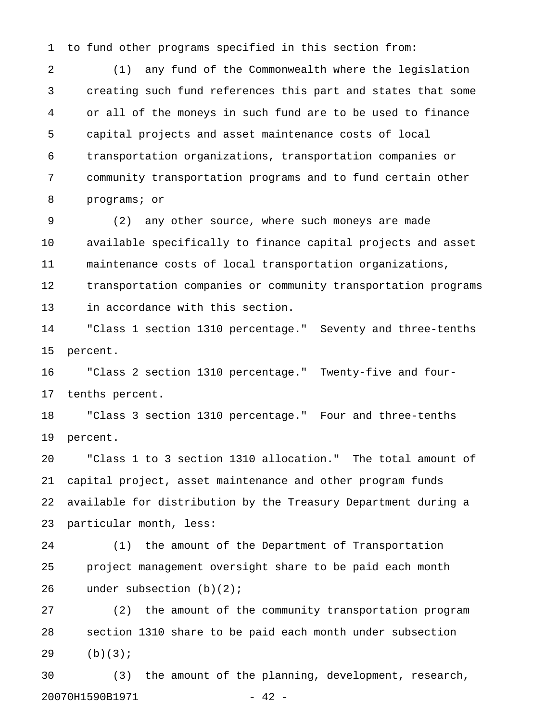1 to fund other programs specified in this section from:

2 (1) any fund of the Commonwealth where the legislation 3 creating such fund references this part and states that some 4 or all of the moneys in such fund are to be used to finance 5 capital projects and asset maintenance costs of local 6 transportation organizations, transportation companies or 7 community transportation programs and to fund certain other 8 programs; or

9 (2) any other source, where such moneys are made 10 available specifically to finance capital projects and asset 11 maintenance costs of local transportation organizations, 12 transportation companies or community transportation programs 13 in accordance with this section.

14 "Class 1 section 1310 percentage." Seventy and three-tenths 15 percent.

16 "Class 2 section 1310 percentage." Twenty-five and four-17 tenths percent.

18 "Class 3 section 1310 percentage." Four and three-tenths 19 percent.

20 "Class 1 to 3 section 1310 allocation." The total amount of 21 capital project, asset maintenance and other program funds 22 available for distribution by the Treasury Department during a 23 particular month, less:

24 (1) the amount of the Department of Transportation 25 project management oversight share to be paid each month 26 under subsection (b)(2);

27 (2) the amount of the community transportation program 28 section 1310 share to be paid each month under subsection 29 (b)(3);

30 (3) the amount of the planning, development, research, 20070H1590B1971 - 42 -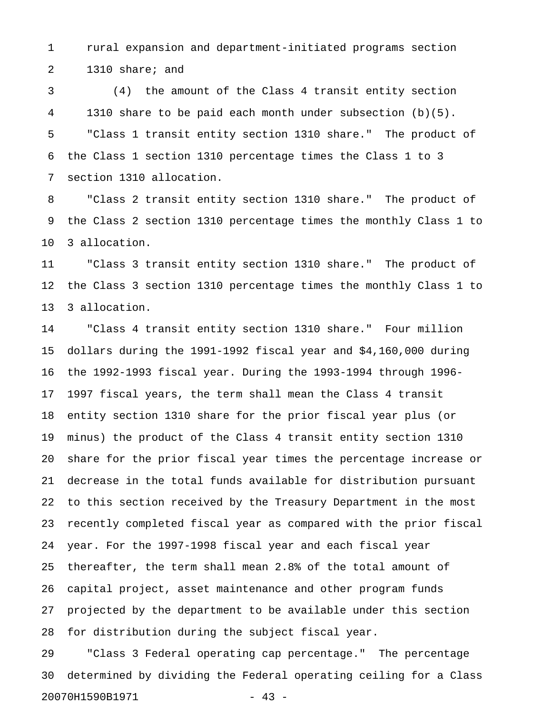1 rural expansion and department-initiated programs section 2 1310 share; and

3 (4) the amount of the Class 4 transit entity section 4 1310 share to be paid each month under subsection (b)(5). 5 "Class 1 transit entity section 1310 share." The product of 6 the Class 1 section 1310 percentage times the Class 1 to 3 7 section 1310 allocation.

8 "Class 2 transit entity section 1310 share." The product of 9 the Class 2 section 1310 percentage times the monthly Class 1 to 10 3 allocation.

11 "Class 3 transit entity section 1310 share." The product of 12 the Class 3 section 1310 percentage times the monthly Class 1 to 13 3 allocation.

14 "Class 4 transit entity section 1310 share." Four million 15 dollars during the 1991-1992 fiscal year and \$4,160,000 during 16 the 1992-1993 fiscal year. During the 1993-1994 through 1996- 17 1997 fiscal years, the term shall mean the Class 4 transit 18 entity section 1310 share for the prior fiscal year plus (or 19 minus) the product of the Class 4 transit entity section 1310 20 share for the prior fiscal year times the percentage increase or 21 decrease in the total funds available for distribution pursuant 22 to this section received by the Treasury Department in the most 23 recently completed fiscal year as compared with the prior fiscal 24 year. For the 1997-1998 fiscal year and each fiscal year 25 thereafter, the term shall mean 2.8% of the total amount of 26 capital project, asset maintenance and other program funds 27 projected by the department to be available under this section 28 for distribution during the subject fiscal year.

29 "Class 3 Federal operating cap percentage." The percentage 30 determined by dividing the Federal operating ceiling for a Class 20070H1590B1971 - 43 -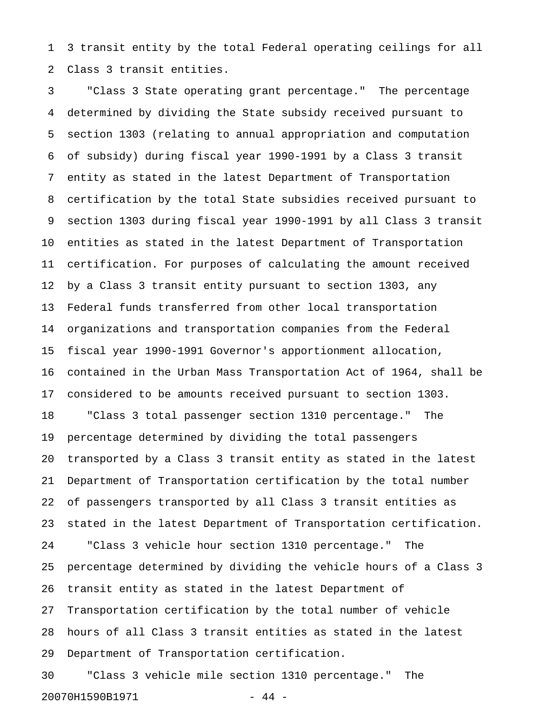1 3 transit entity by the total Federal operating ceilings for all 2 Class 3 transit entities.

3 "Class 3 State operating grant percentage." The percentage 4 determined by dividing the State subsidy received pursuant to 5 section 1303 (relating to annual appropriation and computation 6 of subsidy) during fiscal year 1990-1991 by a Class 3 transit 7 entity as stated in the latest Department of Transportation 8 certification by the total State subsidies received pursuant to 9 section 1303 during fiscal year 1990-1991 by all Class 3 transit 10 entities as stated in the latest Department of Transportation 11 certification. For purposes of calculating the amount received 12 by a Class 3 transit entity pursuant to section 1303, any 13 Federal funds transferred from other local transportation 14 organizations and transportation companies from the Federal 15 fiscal year 1990-1991 Governor's apportionment allocation, 16 contained in the Urban Mass Transportation Act of 1964, shall be 17 considered to be amounts received pursuant to section 1303. 18 "Class 3 total passenger section 1310 percentage." The 19 percentage determined by dividing the total passengers 20 transported by a Class 3 transit entity as stated in the latest 21 Department of Transportation certification by the total number 22 of passengers transported by all Class 3 transit entities as 23 stated in the latest Department of Transportation certification. 24 "Class 3 vehicle hour section 1310 percentage." The 25 percentage determined by dividing the vehicle hours of a Class 3 26 transit entity as stated in the latest Department of 27 Transportation certification by the total number of vehicle 28 hours of all Class 3 transit entities as stated in the latest 29 Department of Transportation certification.

30 "Class 3 vehicle mile section 1310 percentage." The 20070H1590B1971 - 44 -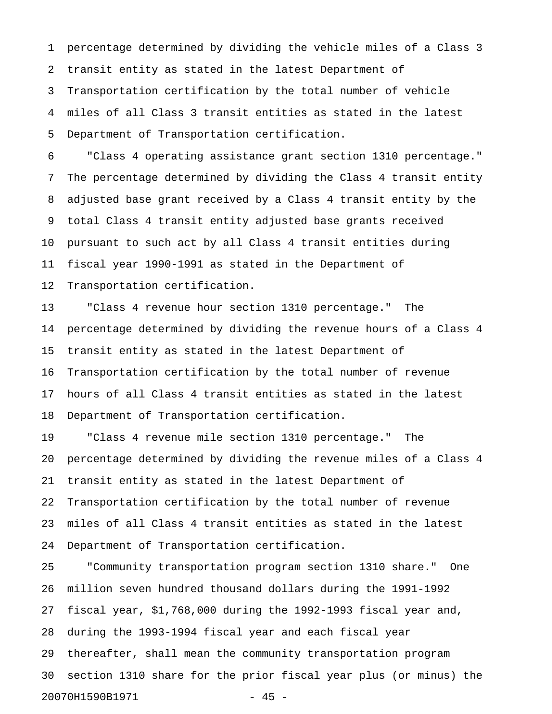1 percentage determined by dividing the vehicle miles of a Class 3 2 transit entity as stated in the latest Department of 3 Transportation certification by the total number of vehicle 4 miles of all Class 3 transit entities as stated in the latest 5 Department of Transportation certification.

6 "Class 4 operating assistance grant section 1310 percentage." 7 The percentage determined by dividing the Class 4 transit entity 8 adjusted base grant received by a Class 4 transit entity by the 9 total Class 4 transit entity adjusted base grants received 10 pursuant to such act by all Class 4 transit entities during 11 fiscal year 1990-1991 as stated in the Department of 12 Transportation certification.

13 "Class 4 revenue hour section 1310 percentage." The 14 percentage determined by dividing the revenue hours of a Class 4 15 transit entity as stated in the latest Department of 16 Transportation certification by the total number of revenue 17 hours of all Class 4 transit entities as stated in the latest 18 Department of Transportation certification.

19 "Class 4 revenue mile section 1310 percentage." The 20 percentage determined by dividing the revenue miles of a Class 4 21 transit entity as stated in the latest Department of 22 Transportation certification by the total number of revenue 23 miles of all Class 4 transit entities as stated in the latest 24 Department of Transportation certification.

25 "Community transportation program section 1310 share." One 26 million seven hundred thousand dollars during the 1991-1992 27 fiscal year, \$1,768,000 during the 1992-1993 fiscal year and, 28 during the 1993-1994 fiscal year and each fiscal year 29 thereafter, shall mean the community transportation program 30 section 1310 share for the prior fiscal year plus (or minus) the 20070H1590B1971 - 45 -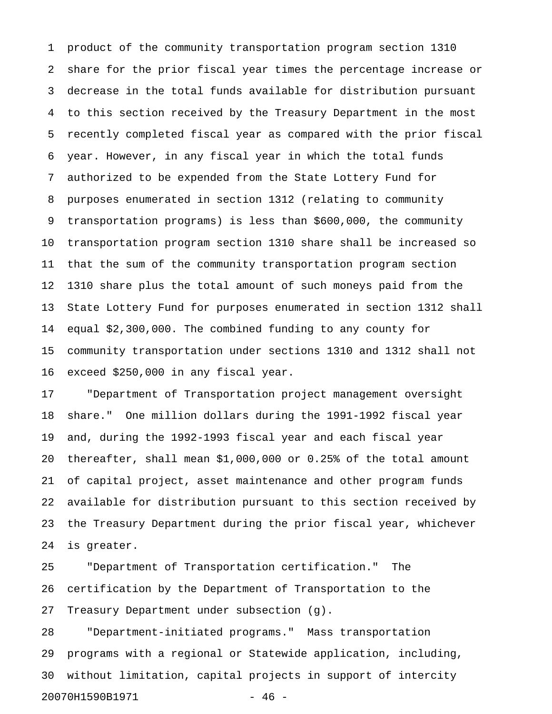1 product of the community transportation program section 1310 2 share for the prior fiscal year times the percentage increase or 3 decrease in the total funds available for distribution pursuant 4 to this section received by the Treasury Department in the most 5 recently completed fiscal year as compared with the prior fiscal 6 year. However, in any fiscal year in which the total funds 7 authorized to be expended from the State Lottery Fund for 8 purposes enumerated in section 1312 (relating to community 9 transportation programs) is less than \$600,000, the community 10 transportation program section 1310 share shall be increased so 11 that the sum of the community transportation program section 12 1310 share plus the total amount of such moneys paid from the 13 State Lottery Fund for purposes enumerated in section 1312 shall 14 equal \$2,300,000. The combined funding to any county for 15 community transportation under sections 1310 and 1312 shall not 16 exceed \$250,000 in any fiscal year.

17 "Department of Transportation project management oversight 18 share." One million dollars during the 1991-1992 fiscal year 19 and, during the 1992-1993 fiscal year and each fiscal year 20 thereafter, shall mean \$1,000,000 or 0.25% of the total amount 21 of capital project, asset maintenance and other program funds 22 available for distribution pursuant to this section received by 23 the Treasury Department during the prior fiscal year, whichever 24 is greater.

25 "Department of Transportation certification." The 26 certification by the Department of Transportation to the 27 Treasury Department under subsection (g).

28 "Department-initiated programs." Mass transportation 29 programs with a regional or Statewide application, including, 30 without limitation, capital projects in support of intercity 20070H1590B1971 - 46 -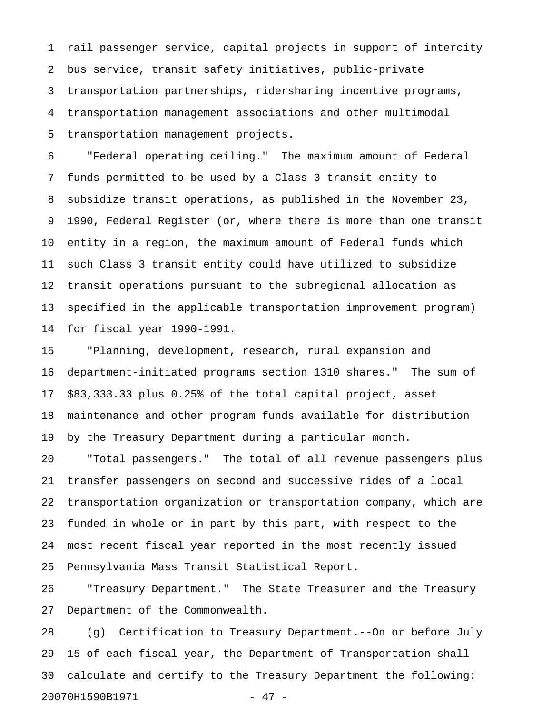1 rail passenger service, capital projects in support of intercity 2 bus service, transit safety initiatives, public-private 3 transportation partnerships, ridersharing incentive programs, 4 transportation management associations and other multimodal 5 transportation management projects.

6 "Federal operating ceiling." The maximum amount of Federal 7 funds permitted to be used by a Class 3 transit entity to 8 subsidize transit operations, as published in the November 23, 9 1990, Federal Register (or, where there is more than one transit 10 entity in a region, the maximum amount of Federal funds which 11 such Class 3 transit entity could have utilized to subsidize 12 transit operations pursuant to the subregional allocation as 13 specified in the applicable transportation improvement program) 14 for fiscal year 1990-1991.

15 "Planning, development, research, rural expansion and 16 department-initiated programs section 1310 shares." The sum of 17 \$83,333.33 plus 0.25% of the total capital project, asset 18 maintenance and other program funds available for distribution 19 by the Treasury Department during a particular month.

20 "Total passengers." The total of all revenue passengers plus 21 transfer passengers on second and successive rides of a local 22 transportation organization or transportation company, which are 23 funded in whole or in part by this part, with respect to the 24 most recent fiscal year reported in the most recently issued 25 Pennsylvania Mass Transit Statistical Report.

26 "Treasury Department." The State Treasurer and the Treasury 27 Department of the Commonwealth.

28 (g) Certification to Treasury Department.--On or before July 29 15 of each fiscal year, the Department of Transportation shall 30 calculate and certify to the Treasury Department the following: 20070H1590B1971 - 47 -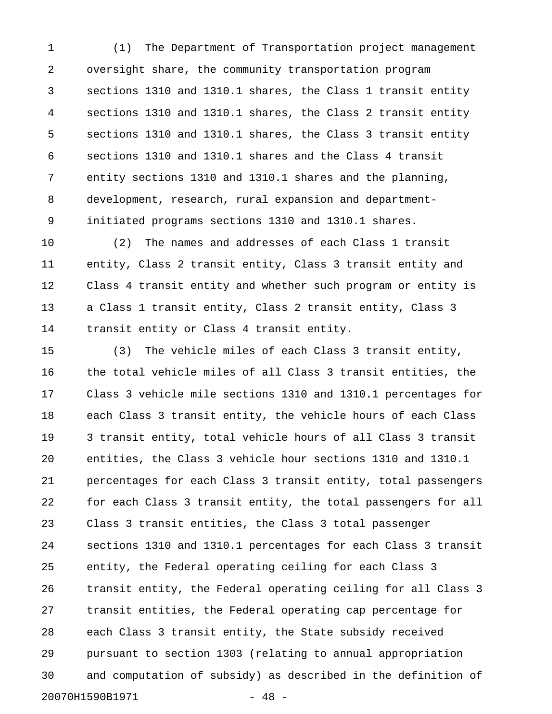1 (1) The Department of Transportation project management 2 oversight share, the community transportation program 3 sections 1310 and 1310.1 shares, the Class 1 transit entity 4 sections 1310 and 1310.1 shares, the Class 2 transit entity 5 sections 1310 and 1310.1 shares, the Class 3 transit entity 6 sections 1310 and 1310.1 shares and the Class 4 transit 7 entity sections 1310 and 1310.1 shares and the planning, 8 development, research, rural expansion and department-9 initiated programs sections 1310 and 1310.1 shares.

10 (2) The names and addresses of each Class 1 transit 11 entity, Class 2 transit entity, Class 3 transit entity and 12 Class 4 transit entity and whether such program or entity is 13 a Class 1 transit entity, Class 2 transit entity, Class 3 14 transit entity or Class 4 transit entity.

15 (3) The vehicle miles of each Class 3 transit entity, 16 the total vehicle miles of all Class 3 transit entities, the 17 Class 3 vehicle mile sections 1310 and 1310.1 percentages for 18 each Class 3 transit entity, the vehicle hours of each Class 19 3 transit entity, total vehicle hours of all Class 3 transit 20 entities, the Class 3 vehicle hour sections 1310 and 1310.1 21 percentages for each Class 3 transit entity, total passengers 22 for each Class 3 transit entity, the total passengers for all 23 Class 3 transit entities, the Class 3 total passenger 24 sections 1310 and 1310.1 percentages for each Class 3 transit 25 entity, the Federal operating ceiling for each Class 3 26 transit entity, the Federal operating ceiling for all Class 3 27 transit entities, the Federal operating cap percentage for 28 each Class 3 transit entity, the State subsidy received 29 pursuant to section 1303 (relating to annual appropriation 30 and computation of subsidy) as described in the definition of 20070H1590B1971 - 48 -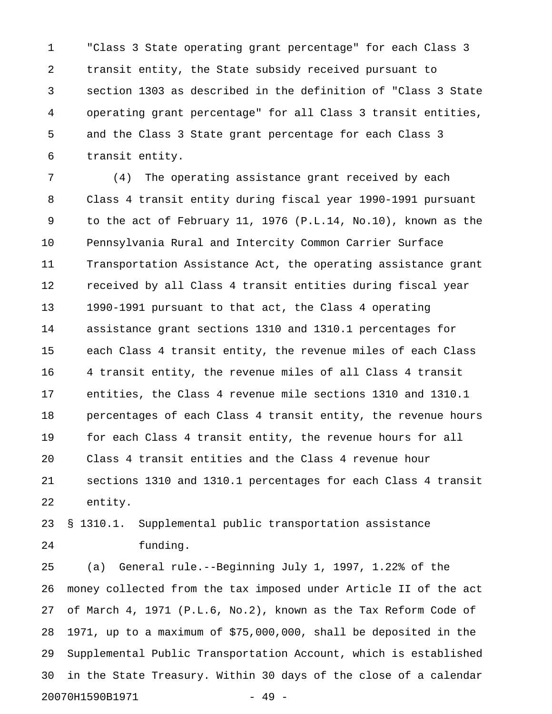1 "Class 3 State operating grant percentage" for each Class 3 2 transit entity, the State subsidy received pursuant to 3 section 1303 as described in the definition of "Class 3 State 4 operating grant percentage" for all Class 3 transit entities, 5 and the Class 3 State grant percentage for each Class 3 6 transit entity.

7 (4) The operating assistance grant received by each 8 Class 4 transit entity during fiscal year 1990-1991 pursuant 9 to the act of February 11, 1976 (P.L.14, No.10), known as the 10 Pennsylvania Rural and Intercity Common Carrier Surface 11 Transportation Assistance Act, the operating assistance grant 12 received by all Class 4 transit entities during fiscal year 13 1990-1991 pursuant to that act, the Class 4 operating 14 assistance grant sections 1310 and 1310.1 percentages for 15 each Class 4 transit entity, the revenue miles of each Class 16 4 transit entity, the revenue miles of all Class 4 transit 17 entities, the Class 4 revenue mile sections 1310 and 1310.1 18 percentages of each Class 4 transit entity, the revenue hours 19 for each Class 4 transit entity, the revenue hours for all 20 Class 4 transit entities and the Class 4 revenue hour 21 sections 1310 and 1310.1 percentages for each Class 4 transit 22 entity.

23 § 1310.1. Supplemental public transportation assistance 24 funding.

25 (a) General rule.--Beginning July 1, 1997, 1.22% of the 26 money collected from the tax imposed under Article II of the act 27 of March 4, 1971 (P.L.6, No.2), known as the Tax Reform Code of 28 1971, up to a maximum of \$75,000,000, shall be deposited in the 29 Supplemental Public Transportation Account, which is established 30 in the State Treasury. Within 30 days of the close of a calendar 20070H1590B1971 - 49 -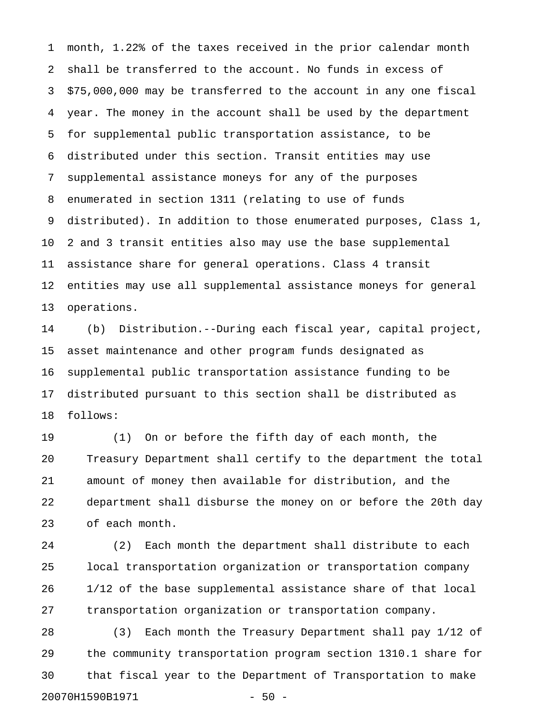1 month, 1.22% of the taxes received in the prior calendar month 2 shall be transferred to the account. No funds in excess of 3 \$75,000,000 may be transferred to the account in any one fiscal 4 year. The money in the account shall be used by the department 5 for supplemental public transportation assistance, to be 6 distributed under this section. Transit entities may use 7 supplemental assistance moneys for any of the purposes 8 enumerated in section 1311 (relating to use of funds 9 distributed). In addition to those enumerated purposes, Class 1, 10 2 and 3 transit entities also may use the base supplemental 11 assistance share for general operations. Class 4 transit 12 entities may use all supplemental assistance moneys for general 13 operations.

14 (b) Distribution.--During each fiscal year, capital project, 15 asset maintenance and other program funds designated as 16 supplemental public transportation assistance funding to be 17 distributed pursuant to this section shall be distributed as 18 follows:

19 (1) On or before the fifth day of each month, the 20 Treasury Department shall certify to the department the total 21 amount of money then available for distribution, and the 22 department shall disburse the money on or before the 20th day 23 of each month.

24 (2) Each month the department shall distribute to each 25 local transportation organization or transportation company 26 1/12 of the base supplemental assistance share of that local 27 transportation organization or transportation company.

28 (3) Each month the Treasury Department shall pay 1/12 of 29 the community transportation program section 1310.1 share for 30 that fiscal year to the Department of Transportation to make 20070H1590B1971 - 50 -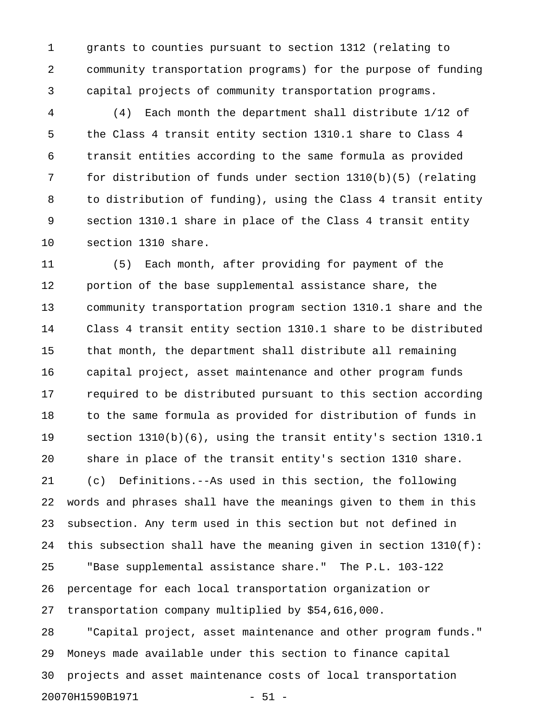1 grants to counties pursuant to section 1312 (relating to 2 community transportation programs) for the purpose of funding 3 capital projects of community transportation programs.

4 (4) Each month the department shall distribute 1/12 of 5 the Class 4 transit entity section 1310.1 share to Class 4 6 transit entities according to the same formula as provided 7 for distribution of funds under section 1310(b)(5) (relating 8 to distribution of funding), using the Class 4 transit entity 9 section 1310.1 share in place of the Class 4 transit entity 10 section 1310 share.

11 (5) Each month, after providing for payment of the 12 portion of the base supplemental assistance share, the 13 community transportation program section 1310.1 share and the 14 Class 4 transit entity section 1310.1 share to be distributed 15 that month, the department shall distribute all remaining 16 capital project, asset maintenance and other program funds 17 required to be distributed pursuant to this section according 18 to the same formula as provided for distribution of funds in 19 section 1310(b)(6), using the transit entity's section 1310.1 20 share in place of the transit entity's section 1310 share. 21 (c) Definitions.--As used in this section, the following 22 words and phrases shall have the meanings given to them in this 23 subsection. Any term used in this section but not defined in 24 this subsection shall have the meaning given in section 1310(f): 25 "Base supplemental assistance share." The P.L. 103-122 26 percentage for each local transportation organization or 27 transportation company multiplied by \$54,616,000. 28 "Capital project, asset maintenance and other program funds." 29 Moneys made available under this section to finance capital 30 projects and asset maintenance costs of local transportation

```
20070H1590B1971 - 51 -
```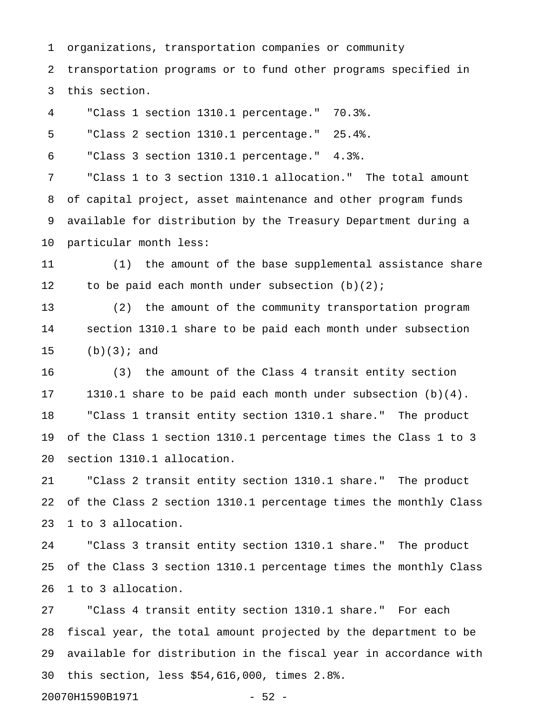1 organizations, transportation companies or community 2 transportation programs or to fund other programs specified in 3 this section.

4 "Class 1 section 1310.1 percentage." 70.3%.

5 "Class 2 section 1310.1 percentage." 25.4%.

6 "Class 3 section 1310.1 percentage." 4.3%.

7 "Class 1 to 3 section 1310.1 allocation." The total amount 8 of capital project, asset maintenance and other program funds 9 available for distribution by the Treasury Department during a 10 particular month less:

11 (1) the amount of the base supplemental assistance share 12 to be paid each month under subsection (b)(2);

13 (2) the amount of the community transportation program 14 section 1310.1 share to be paid each month under subsection 15 (b)(3); and

16 (3) the amount of the Class 4 transit entity section 17 1310.1 share to be paid each month under subsection (b)(4). 18 "Class 1 transit entity section 1310.1 share." The product 19 of the Class 1 section 1310.1 percentage times the Class 1 to 3 20 section 1310.1 allocation.

21 "Class 2 transit entity section 1310.1 share." The product 22 of the Class 2 section 1310.1 percentage times the monthly Class 23 1 to 3 allocation.

24 "Class 3 transit entity section 1310.1 share." The product 25 of the Class 3 section 1310.1 percentage times the monthly Class 26 1 to 3 allocation.

27 "Class 4 transit entity section 1310.1 share." For each 28 fiscal year, the total amount projected by the department to be 29 available for distribution in the fiscal year in accordance with 30 this section, less \$54,616,000, times 2.8%.

20070H1590B1971 - 52 -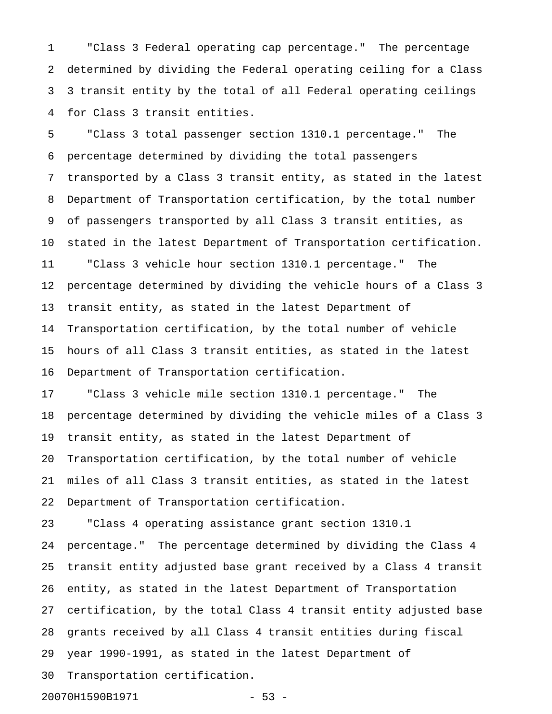1 "Class 3 Federal operating cap percentage." The percentage 2 determined by dividing the Federal operating ceiling for a Class 3 3 transit entity by the total of all Federal operating ceilings 4 for Class 3 transit entities.

5 "Class 3 total passenger section 1310.1 percentage." The 6 percentage determined by dividing the total passengers 7 transported by a Class 3 transit entity, as stated in the latest 8 Department of Transportation certification, by the total number 9 of passengers transported by all Class 3 transit entities, as 10 stated in the latest Department of Transportation certification. 11 "Class 3 vehicle hour section 1310.1 percentage." The 12 percentage determined by dividing the vehicle hours of a Class 3 13 transit entity, as stated in the latest Department of 14 Transportation certification, by the total number of vehicle 15 hours of all Class 3 transit entities, as stated in the latest 16 Department of Transportation certification.

17 "Class 3 vehicle mile section 1310.1 percentage." The 18 percentage determined by dividing the vehicle miles of a Class 3 19 transit entity, as stated in the latest Department of 20 Transportation certification, by the total number of vehicle 21 miles of all Class 3 transit entities, as stated in the latest 22 Department of Transportation certification.

23 "Class 4 operating assistance grant section 1310.1 24 percentage." The percentage determined by dividing the Class 4 25 transit entity adjusted base grant received by a Class 4 transit 26 entity, as stated in the latest Department of Transportation 27 certification, by the total Class 4 transit entity adjusted base 28 grants received by all Class 4 transit entities during fiscal 29 year 1990-1991, as stated in the latest Department of 30 Transportation certification.

20070H1590B1971 - 53 -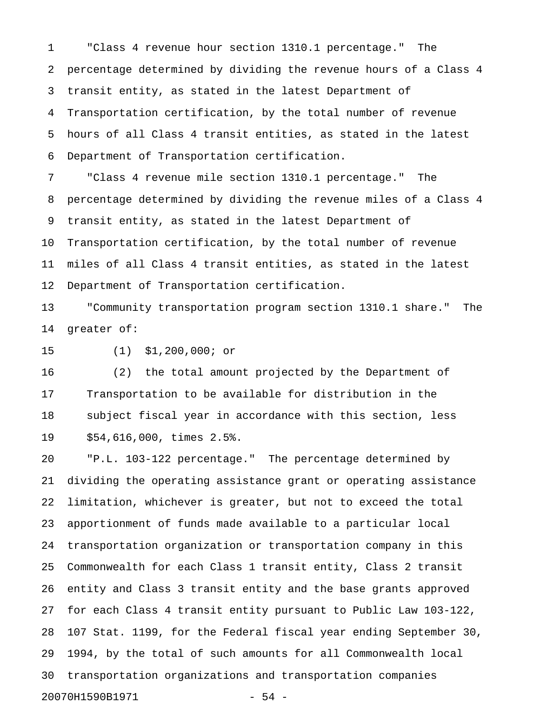1 "Class 4 revenue hour section 1310.1 percentage." The 2 percentage determined by dividing the revenue hours of a Class 4 3 transit entity, as stated in the latest Department of 4 Transportation certification, by the total number of revenue 5 hours of all Class 4 transit entities, as stated in the latest 6 Department of Transportation certification.

7 "Class 4 revenue mile section 1310.1 percentage." The 8 percentage determined by dividing the revenue miles of a Class 4 9 transit entity, as stated in the latest Department of 10 Transportation certification, by the total number of revenue 11 miles of all Class 4 transit entities, as stated in the latest 12 Department of Transportation certification.

13 "Community transportation program section 1310.1 share." The 14 greater of:

15 (1) \$1,200,000; or

16 (2) the total amount projected by the Department of 17 Transportation to be available for distribution in the 18 subject fiscal year in accordance with this section, less 19 \$54,616,000, times 2.5%.

20 "P.L. 103-122 percentage." The percentage determined by 21 dividing the operating assistance grant or operating assistance 22 limitation, whichever is greater, but not to exceed the total 23 apportionment of funds made available to a particular local 24 transportation organization or transportation company in this 25 Commonwealth for each Class 1 transit entity, Class 2 transit 26 entity and Class 3 transit entity and the base grants approved 27 for each Class 4 transit entity pursuant to Public Law 103-122, 28 107 Stat. 1199, for the Federal fiscal year ending September 30, 29 1994, by the total of such amounts for all Commonwealth local 30 transportation organizations and transportation companies 20070H1590B1971 - 54 -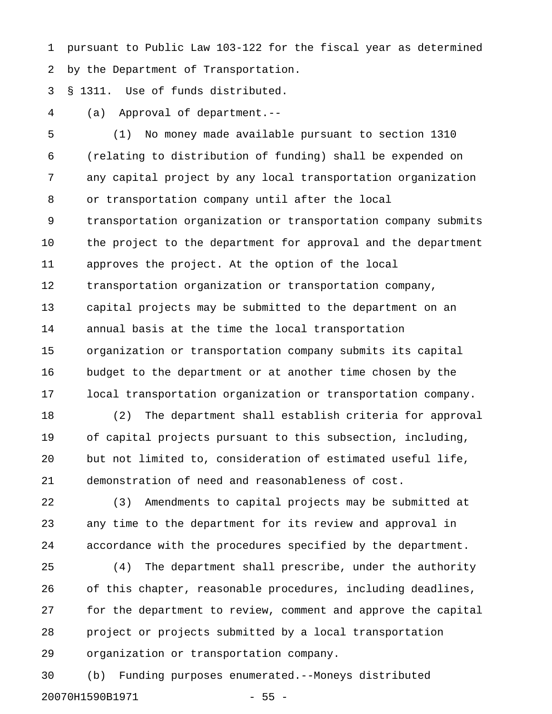1 pursuant to Public Law 103-122 for the fiscal year as determined 2 by the Department of Transportation.

3 § 1311. Use of funds distributed.

4 (a) Approval of department.--

5 (1) No money made available pursuant to section 1310 6 (relating to distribution of funding) shall be expended on 7 any capital project by any local transportation organization 8 or transportation company until after the local 9 transportation organization or transportation company submits 10 the project to the department for approval and the department 11 approves the project. At the option of the local 12 transportation organization or transportation company, 13 capital projects may be submitted to the department on an 14 annual basis at the time the local transportation 15 organization or transportation company submits its capital 16 budget to the department or at another time chosen by the 17 local transportation organization or transportation company.

18 (2) The department shall establish criteria for approval 19 of capital projects pursuant to this subsection, including, 20 but not limited to, consideration of estimated useful life, 21 demonstration of need and reasonableness of cost.

22 (3) Amendments to capital projects may be submitted at 23 any time to the department for its review and approval in 24 accordance with the procedures specified by the department.

25 (4) The department shall prescribe, under the authority 26 of this chapter, reasonable procedures, including deadlines, 27 for the department to review, comment and approve the capital 28 project or projects submitted by a local transportation 29 organization or transportation company.

30 (b) Funding purposes enumerated.--Moneys distributed 20070H1590B1971 - 55 -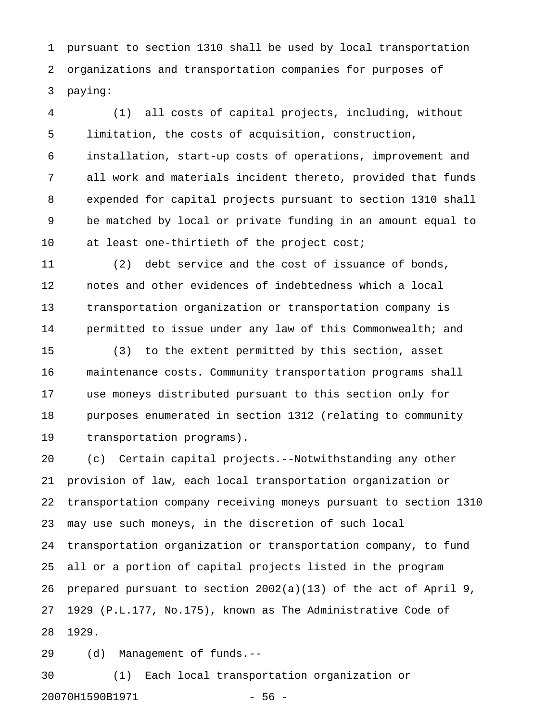1 pursuant to section 1310 shall be used by local transportation 2 organizations and transportation companies for purposes of 3 paying:

4 (1) all costs of capital projects, including, without 5 limitation, the costs of acquisition, construction, 6 installation, start-up costs of operations, improvement and 7 all work and materials incident thereto, provided that funds 8 expended for capital projects pursuant to section 1310 shall 9 be matched by local or private funding in an amount equal to 10 at least one-thirtieth of the project cost;

11 (2) debt service and the cost of issuance of bonds, 12 notes and other evidences of indebtedness which a local 13 transportation organization or transportation company is 14 permitted to issue under any law of this Commonwealth; and

15 (3) to the extent permitted by this section, asset 16 maintenance costs. Community transportation programs shall 17 use moneys distributed pursuant to this section only for 18 purposes enumerated in section 1312 (relating to community 19 transportation programs).

20 (c) Certain capital projects.--Notwithstanding any other 21 provision of law, each local transportation organization or 22 transportation company receiving moneys pursuant to section 1310 23 may use such moneys, in the discretion of such local 24 transportation organization or transportation company, to fund 25 all or a portion of capital projects listed in the program 26 prepared pursuant to section 2002(a)(13) of the act of April 9, 27 1929 (P.L.177, No.175), known as The Administrative Code of 28 1929.

29 (d) Management of funds.--

30 (1) Each local transportation organization or 20070H1590B1971 - 56 -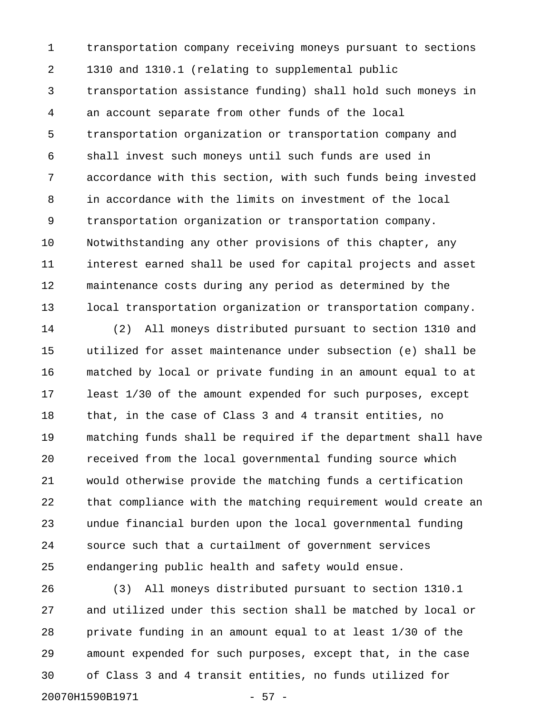1 transportation company receiving moneys pursuant to sections 2 1310 and 1310.1 (relating to supplemental public 3 transportation assistance funding) shall hold such moneys in 4 an account separate from other funds of the local 5 transportation organization or transportation company and 6 shall invest such moneys until such funds are used in 7 accordance with this section, with such funds being invested 8 in accordance with the limits on investment of the local 9 transportation organization or transportation company. 10 Notwithstanding any other provisions of this chapter, any 11 interest earned shall be used for capital projects and asset 12 maintenance costs during any period as determined by the 13 local transportation organization or transportation company.

14 (2) All moneys distributed pursuant to section 1310 and 15 utilized for asset maintenance under subsection (e) shall be 16 matched by local or private funding in an amount equal to at 17 least 1/30 of the amount expended for such purposes, except 18 that, in the case of Class 3 and 4 transit entities, no 19 matching funds shall be required if the department shall have 20 received from the local governmental funding source which 21 would otherwise provide the matching funds a certification 22 that compliance with the matching requirement would create an 23 undue financial burden upon the local governmental funding 24 source such that a curtailment of government services 25 endangering public health and safety would ensue.

26 (3) All moneys distributed pursuant to section 1310.1 27 and utilized under this section shall be matched by local or 28 private funding in an amount equal to at least 1/30 of the 29 amount expended for such purposes, except that, in the case 30 of Class 3 and 4 transit entities, no funds utilized for 20070H1590B1971 - 57 -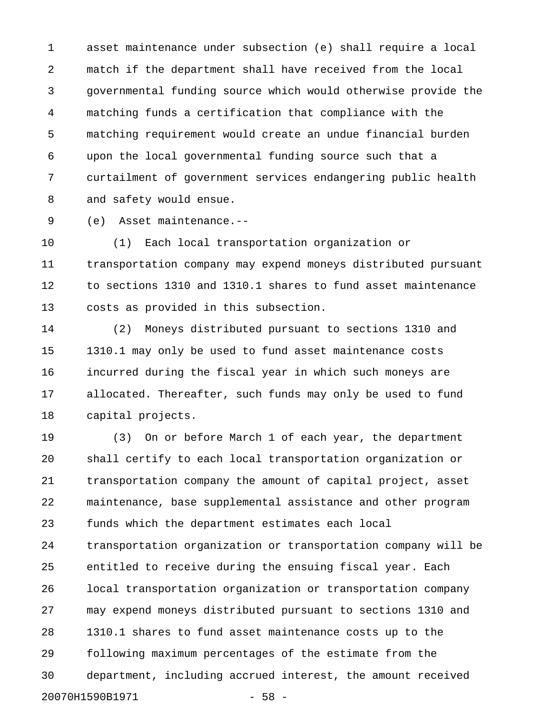1 asset maintenance under subsection (e) shall require a local 2 match if the department shall have received from the local 3 governmental funding source which would otherwise provide the 4 matching funds a certification that compliance with the 5 matching requirement would create an undue financial burden 6 upon the local governmental funding source such that a 7 curtailment of government services endangering public health 8 and safety would ensue.

9 (e) Asset maintenance.--

10 (1) Each local transportation organization or 11 transportation company may expend moneys distributed pursuant 12 to sections 1310 and 1310.1 shares to fund asset maintenance 13 costs as provided in this subsection.

14 (2) Moneys distributed pursuant to sections 1310 and 15 1310.1 may only be used to fund asset maintenance costs 16 incurred during the fiscal year in which such moneys are 17 allocated. Thereafter, such funds may only be used to fund 18 capital projects.

19 (3) On or before March 1 of each year, the department 20 shall certify to each local transportation organization or 21 transportation company the amount of capital project, asset 22 maintenance, base supplemental assistance and other program 23 funds which the department estimates each local 24 transportation organization or transportation company will be 25 entitled to receive during the ensuing fiscal year. Each 26 local transportation organization or transportation company 27 may expend moneys distributed pursuant to sections 1310 and 28 1310.1 shares to fund asset maintenance costs up to the 29 following maximum percentages of the estimate from the 30 department, including accrued interest, the amount received 20070H1590B1971 - 58 -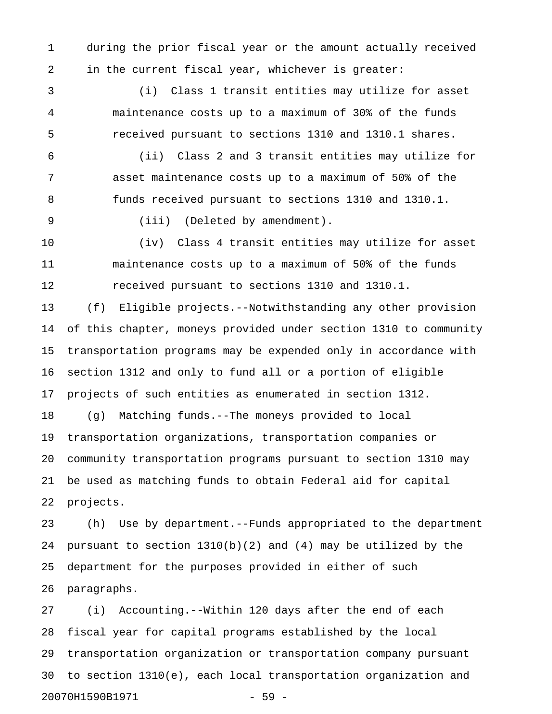1 during the prior fiscal year or the amount actually received 2 in the current fiscal year, whichever is greater:

3 (i) Class 1 transit entities may utilize for asset 4 maintenance costs up to a maximum of 30% of the funds 5 received pursuant to sections 1310 and 1310.1 shares.

6 (ii) Class 2 and 3 transit entities may utilize for 7 asset maintenance costs up to a maximum of 50% of the 8 funds received pursuant to sections 1310 and 1310.1.

9 (iii) (Deleted by amendment).

10 (iv) Class 4 transit entities may utilize for asset 11 maintenance costs up to a maximum of 50% of the funds 12 received pursuant to sections 1310 and 1310.1.

13 (f) Eligible projects.--Notwithstanding any other provision 14 of this chapter, moneys provided under section 1310 to community 15 transportation programs may be expended only in accordance with 16 section 1312 and only to fund all or a portion of eligible 17 projects of such entities as enumerated in section 1312.

18 (g) Matching funds.--The moneys provided to local 19 transportation organizations, transportation companies or 20 community transportation programs pursuant to section 1310 may 21 be used as matching funds to obtain Federal aid for capital 22 projects.

23 (h) Use by department.--Funds appropriated to the department 24 pursuant to section 1310(b)(2) and (4) may be utilized by the 25 department for the purposes provided in either of such 26 paragraphs.

27 (i) Accounting.--Within 120 days after the end of each 28 fiscal year for capital programs established by the local 29 transportation organization or transportation company pursuant 30 to section 1310(e), each local transportation organization and 20070H1590B1971 - 59 -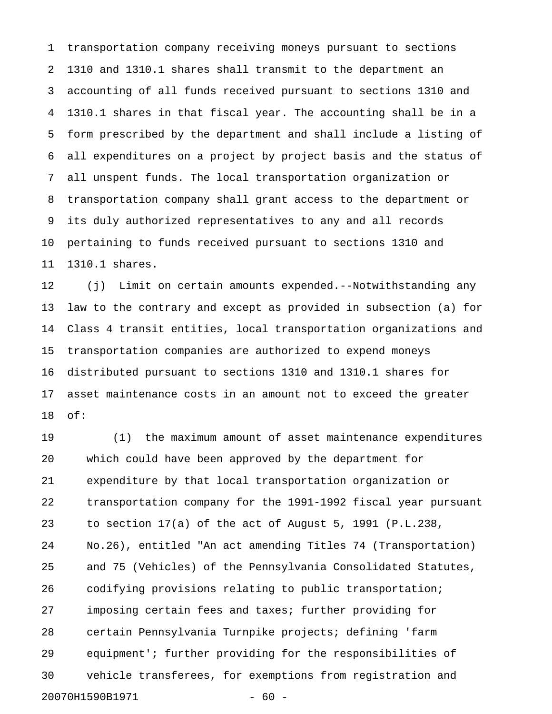1 transportation company receiving moneys pursuant to sections 2 1310 and 1310.1 shares shall transmit to the department an 3 accounting of all funds received pursuant to sections 1310 and 4 1310.1 shares in that fiscal year. The accounting shall be in a 5 form prescribed by the department and shall include a listing of 6 all expenditures on a project by project basis and the status of 7 all unspent funds. The local transportation organization or 8 transportation company shall grant access to the department or 9 its duly authorized representatives to any and all records 10 pertaining to funds received pursuant to sections 1310 and 11 1310.1 shares.

12 (j) Limit on certain amounts expended.--Notwithstanding any 13 law to the contrary and except as provided in subsection (a) for 14 Class 4 transit entities, local transportation organizations and 15 transportation companies are authorized to expend moneys 16 distributed pursuant to sections 1310 and 1310.1 shares for 17 asset maintenance costs in an amount not to exceed the greater 18 of:

19 (1) the maximum amount of asset maintenance expenditures 20 which could have been approved by the department for 21 expenditure by that local transportation organization or 22 transportation company for the 1991-1992 fiscal year pursuant 23 to section 17(a) of the act of August 5, 1991 (P.L.238, 24 No.26), entitled "An act amending Titles 74 (Transportation) 25 and 75 (Vehicles) of the Pennsylvania Consolidated Statutes, 26 codifying provisions relating to public transportation; 27 imposing certain fees and taxes; further providing for 28 certain Pennsylvania Turnpike projects; defining 'farm 29 equipment'; further providing for the responsibilities of 30 vehicle transferees, for exemptions from registration and 20070H1590B1971 - 60 -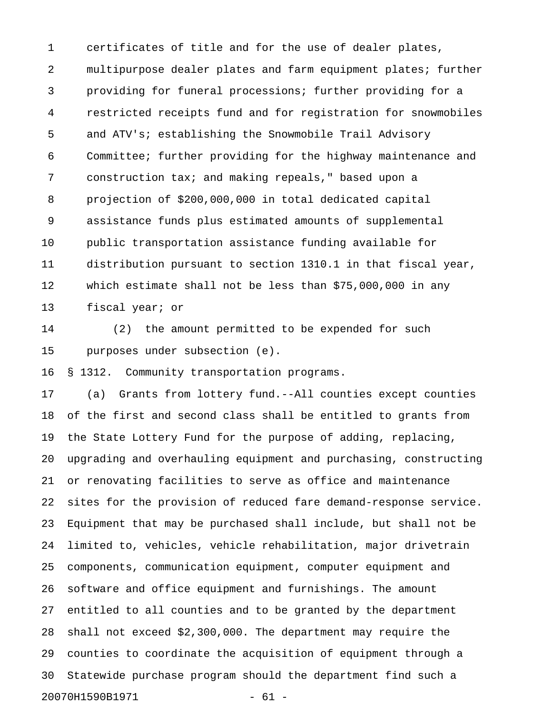1 certificates of title and for the use of dealer plates, 2 multipurpose dealer plates and farm equipment plates; further 3 providing for funeral processions; further providing for a 4 restricted receipts fund and for registration for snowmobiles 5 and ATV's; establishing the Snowmobile Trail Advisory 6 Committee; further providing for the highway maintenance and 7 construction tax; and making repeals," based upon a 8 projection of \$200,000,000 in total dedicated capital 9 assistance funds plus estimated amounts of supplemental 10 public transportation assistance funding available for 11 distribution pursuant to section 1310.1 in that fiscal year, 12 which estimate shall not be less than \$75,000,000 in any 13 fiscal year; or

14 (2) the amount permitted to be expended for such 15 purposes under subsection (e).

16 § 1312. Community transportation programs.

17 (a) Grants from lottery fund.--All counties except counties 18 of the first and second class shall be entitled to grants from 19 the State Lottery Fund for the purpose of adding, replacing, 20 upgrading and overhauling equipment and purchasing, constructing 21 or renovating facilities to serve as office and maintenance 22 sites for the provision of reduced fare demand-response service. 23 Equipment that may be purchased shall include, but shall not be 24 limited to, vehicles, vehicle rehabilitation, major drivetrain 25 components, communication equipment, computer equipment and 26 software and office equipment and furnishings. The amount 27 entitled to all counties and to be granted by the department 28 shall not exceed \$2,300,000. The department may require the 29 counties to coordinate the acquisition of equipment through a 30 Statewide purchase program should the department find such a 20070H1590B1971 - 61 -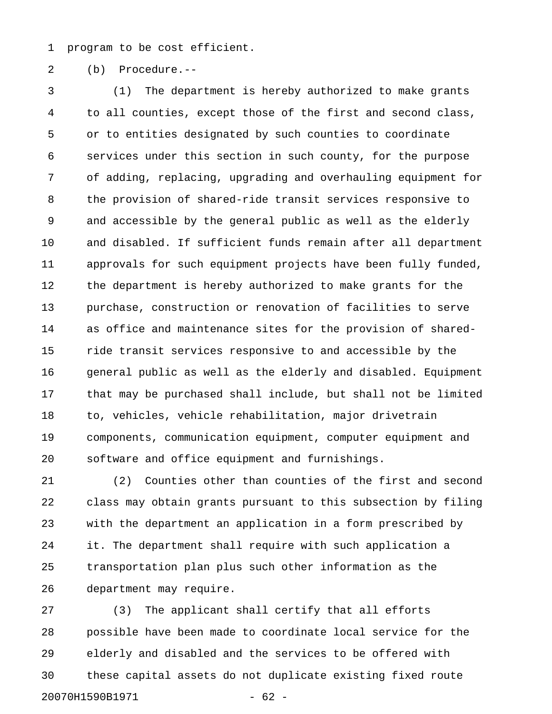1 program to be cost efficient.

2 (b) Procedure.--

3 (1) The department is hereby authorized to make grants 4 to all counties, except those of the first and second class, 5 or to entities designated by such counties to coordinate 6 services under this section in such county, for the purpose 7 of adding, replacing, upgrading and overhauling equipment for 8 the provision of shared-ride transit services responsive to 9 and accessible by the general public as well as the elderly 10 and disabled. If sufficient funds remain after all department 11 approvals for such equipment projects have been fully funded, 12 the department is hereby authorized to make grants for the 13 purchase, construction or renovation of facilities to serve 14 as office and maintenance sites for the provision of shared-15 ride transit services responsive to and accessible by the 16 general public as well as the elderly and disabled. Equipment 17 that may be purchased shall include, but shall not be limited 18 to, vehicles, vehicle rehabilitation, major drivetrain 19 components, communication equipment, computer equipment and 20 software and office equipment and furnishings.

21 (2) Counties other than counties of the first and second 22 class may obtain grants pursuant to this subsection by filing 23 with the department an application in a form prescribed by 24 it. The department shall require with such application a 25 transportation plan plus such other information as the 26 department may require.

27 (3) The applicant shall certify that all efforts 28 possible have been made to coordinate local service for the 29 elderly and disabled and the services to be offered with 30 these capital assets do not duplicate existing fixed route 20070H1590B1971 - 62 -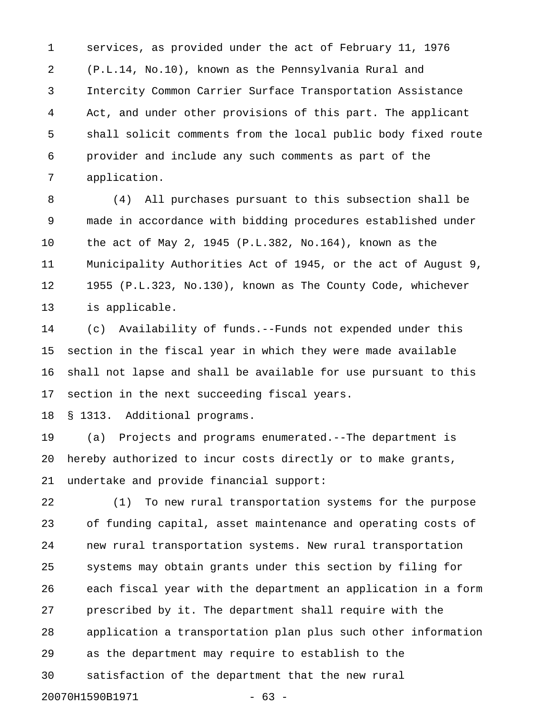1 services, as provided under the act of February 11, 1976 2 (P.L.14, No.10), known as the Pennsylvania Rural and 3 Intercity Common Carrier Surface Transportation Assistance 4 Act, and under other provisions of this part. The applicant 5 shall solicit comments from the local public body fixed route 6 provider and include any such comments as part of the 7 application.

8 (4) All purchases pursuant to this subsection shall be 9 made in accordance with bidding procedures established under 10 the act of May 2, 1945 (P.L.382, No.164), known as the 11 Municipality Authorities Act of 1945, or the act of August 9, 12 1955 (P.L.323, No.130), known as The County Code, whichever 13 is applicable.

14 (c) Availability of funds.--Funds not expended under this 15 section in the fiscal year in which they were made available 16 shall not lapse and shall be available for use pursuant to this 17 section in the next succeeding fiscal years.

18 § 1313. Additional programs.

19 (a) Projects and programs enumerated.--The department is 20 hereby authorized to incur costs directly or to make grants, 21 undertake and provide financial support:

22 (1) To new rural transportation systems for the purpose 23 of funding capital, asset maintenance and operating costs of 24 new rural transportation systems. New rural transportation 25 systems may obtain grants under this section by filing for 26 each fiscal year with the department an application in a form 27 prescribed by it. The department shall require with the 28 application a transportation plan plus such other information 29 as the department may require to establish to the 30 satisfaction of the department that the new rural 20070H1590B1971 - 63 -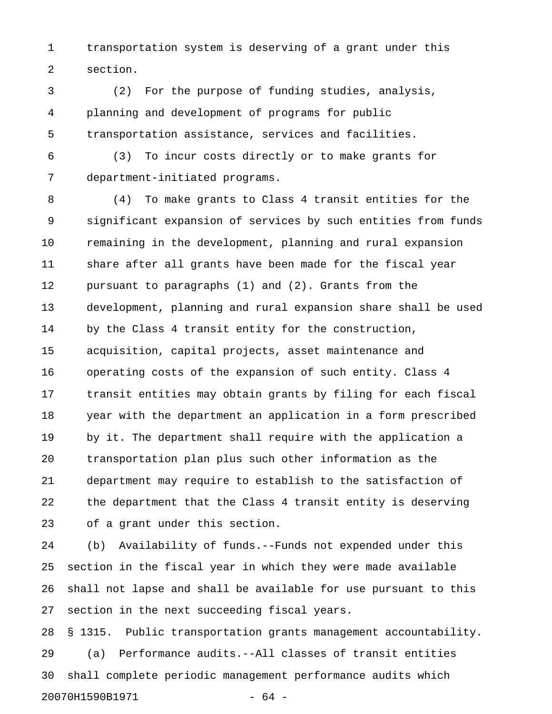1 transportation system is deserving of a grant under this 2 section.

3 (2) For the purpose of funding studies, analysis, 4 planning and development of programs for public 5 transportation assistance, services and facilities.

6 (3) To incur costs directly or to make grants for 7 department-initiated programs.

8 (4) To make grants to Class 4 transit entities for the 9 significant expansion of services by such entities from funds 10 remaining in the development, planning and rural expansion 11 share after all grants have been made for the fiscal year 12 pursuant to paragraphs (1) and (2). Grants from the 13 development, planning and rural expansion share shall be used 14 by the Class 4 transit entity for the construction, 15 acquisition, capital projects, asset maintenance and 16 operating costs of the expansion of such entity. Class 4 17 transit entities may obtain grants by filing for each fiscal 18 year with the department an application in a form prescribed 19 by it. The department shall require with the application a 20 transportation plan plus such other information as the 21 department may require to establish to the satisfaction of 22 the department that the Class 4 transit entity is deserving 23 of a grant under this section.

24 (b) Availability of funds.--Funds not expended under this 25 section in the fiscal year in which they were made available 26 shall not lapse and shall be available for use pursuant to this 27 section in the next succeeding fiscal years.

28 § 1315. Public transportation grants management accountability. 29 (a) Performance audits.--All classes of transit entities 30 shall complete periodic management performance audits which 20070H1590B1971 - 64 -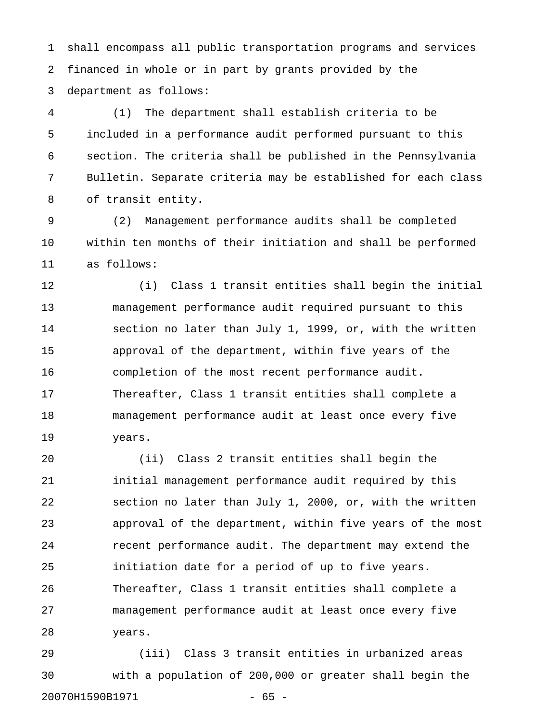1 shall encompass all public transportation programs and services 2 financed in whole or in part by grants provided by the 3 department as follows:

4 (1) The department shall establish criteria to be 5 included in a performance audit performed pursuant to this 6 section. The criteria shall be published in the Pennsylvania 7 Bulletin. Separate criteria may be established for each class 8 of transit entity.

9 (2) Management performance audits shall be completed 10 within ten months of their initiation and shall be performed 11 as follows:

12 (i) Class 1 transit entities shall begin the initial 13 management performance audit required pursuant to this 14 section no later than July 1, 1999, or, with the written 15 approval of the department, within five years of the 16 completion of the most recent performance audit. 17 Thereafter, Class 1 transit entities shall complete a 18 management performance audit at least once every five 19 years.

20 (ii) Class 2 transit entities shall begin the 21 initial management performance audit required by this 22 section no later than July 1, 2000, or, with the written 23 approval of the department, within five years of the most 24 recent performance audit. The department may extend the 25 initiation date for a period of up to five years. 26 Thereafter, Class 1 transit entities shall complete a 27 management performance audit at least once every five 28 years.

29 (iii) Class 3 transit entities in urbanized areas 30 with a population of 200,000 or greater shall begin the 20070H1590B1971 - 65 -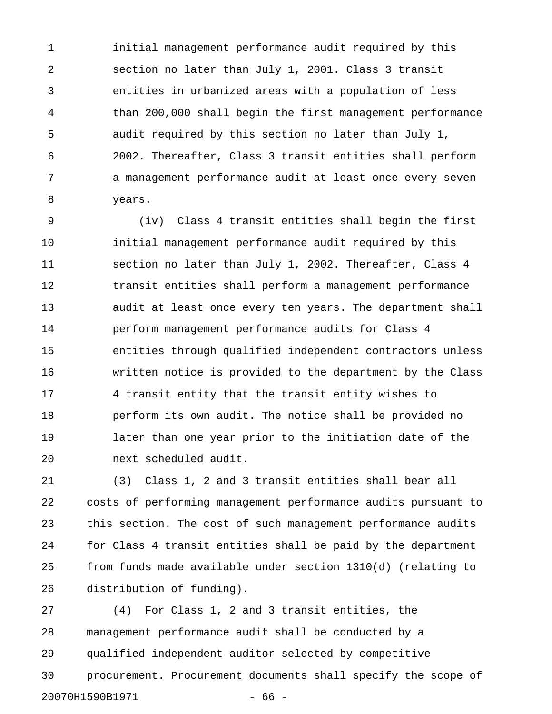1 initial management performance audit required by this 2 section no later than July 1, 2001. Class 3 transit 3 entities in urbanized areas with a population of less 4 than 200,000 shall begin the first management performance 5 audit required by this section no later than July 1, 6 2002. Thereafter, Class 3 transit entities shall perform 7 a management performance audit at least once every seven 8 years.

9 (iv) Class 4 transit entities shall begin the first 10 initial management performance audit required by this 11 section no later than July 1, 2002. Thereafter, Class 4 12 transit entities shall perform a management performance 13 audit at least once every ten years. The department shall 14 perform management performance audits for Class 4 15 entities through qualified independent contractors unless 16 written notice is provided to the department by the Class 17 4 transit entity that the transit entity wishes to 18 perform its own audit. The notice shall be provided no 19 later than one year prior to the initiation date of the 20 next scheduled audit.

21 (3) Class 1, 2 and 3 transit entities shall bear all 22 costs of performing management performance audits pursuant to 23 this section. The cost of such management performance audits 24 for Class 4 transit entities shall be paid by the department 25 from funds made available under section 1310(d) (relating to 26 distribution of funding).

27 (4) For Class 1, 2 and 3 transit entities, the 28 management performance audit shall be conducted by a 29 qualified independent auditor selected by competitive 30 procurement. Procurement documents shall specify the scope of 20070H1590B1971 - 66 -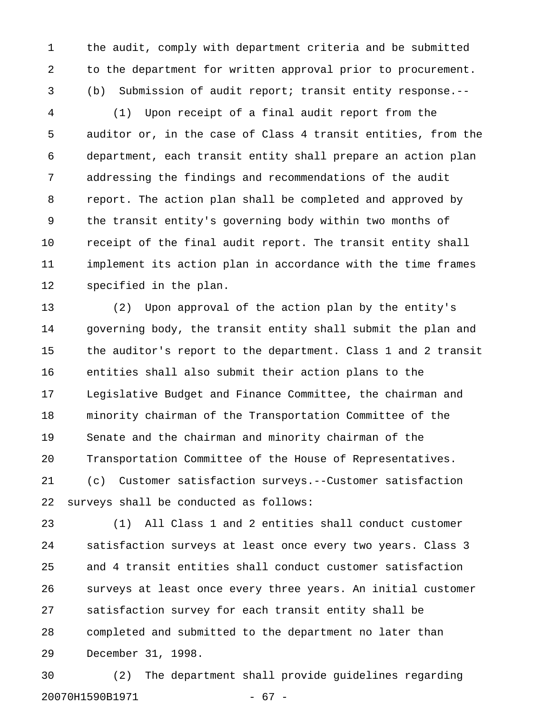1 the audit, comply with department criteria and be submitted 2 to the department for written approval prior to procurement. 3 (b) Submission of audit report; transit entity response.--

4 (1) Upon receipt of a final audit report from the 5 auditor or, in the case of Class 4 transit entities, from the 6 department, each transit entity shall prepare an action plan 7 addressing the findings and recommendations of the audit 8 report. The action plan shall be completed and approved by 9 the transit entity's governing body within two months of 10 receipt of the final audit report. The transit entity shall 11 implement its action plan in accordance with the time frames 12 specified in the plan.

13 (2) Upon approval of the action plan by the entity's 14 governing body, the transit entity shall submit the plan and 15 the auditor's report to the department. Class 1 and 2 transit 16 entities shall also submit their action plans to the 17 Legislative Budget and Finance Committee, the chairman and 18 minority chairman of the Transportation Committee of the 19 Senate and the chairman and minority chairman of the 20 Transportation Committee of the House of Representatives. 21 (c) Customer satisfaction surveys.--Customer satisfaction 22 surveys shall be conducted as follows:

23 (1) All Class 1 and 2 entities shall conduct customer 24 satisfaction surveys at least once every two years. Class 3 25 and 4 transit entities shall conduct customer satisfaction 26 surveys at least once every three years. An initial customer 27 satisfaction survey for each transit entity shall be 28 completed and submitted to the department no later than 29 December 31, 1998.

30 (2) The department shall provide guidelines regarding 20070H1590B1971 - 67 -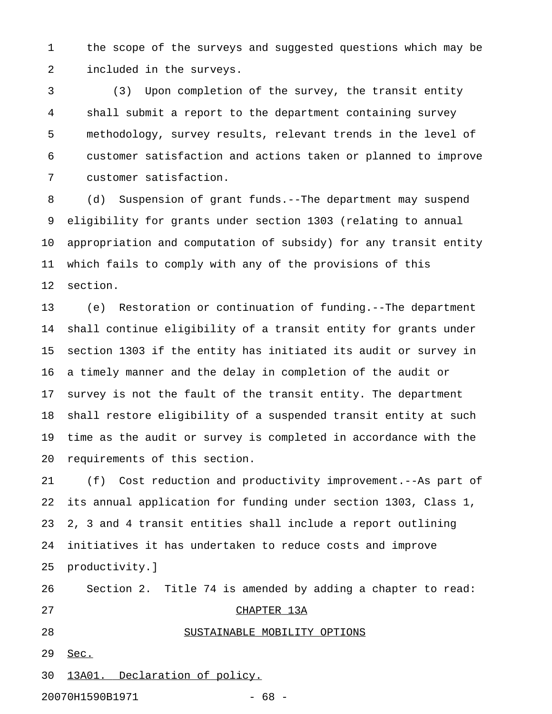1 the scope of the surveys and suggested questions which may be 2 included in the surveys.

3 (3) Upon completion of the survey, the transit entity 4 shall submit a report to the department containing survey 5 methodology, survey results, relevant trends in the level of 6 customer satisfaction and actions taken or planned to improve 7 customer satisfaction.

8 (d) Suspension of grant funds.--The department may suspend 9 eligibility for grants under section 1303 (relating to annual 10 appropriation and computation of subsidy) for any transit entity 11 which fails to comply with any of the provisions of this 12 section.

13 (e) Restoration or continuation of funding.--The department 14 shall continue eligibility of a transit entity for grants under 15 section 1303 if the entity has initiated its audit or survey in 16 a timely manner and the delay in completion of the audit or 17 survey is not the fault of the transit entity. The department 18 shall restore eligibility of a suspended transit entity at such 19 time as the audit or survey is completed in accordance with the 20 requirements of this section.

21 (f) Cost reduction and productivity improvement.--As part of 22 its annual application for funding under section 1303, Class 1, 23 2, 3 and 4 transit entities shall include a report outlining 24 initiatives it has undertaken to reduce costs and improve 25 productivity.]

26 Section 2. Title 74 is amended by adding a chapter to read: 27 CHAPTER 13A 28 SUSTAINABLE MOBILITY OPTIONS \_\_\_\_\_\_\_\_\_\_\_\_\_\_\_\_\_\_\_\_\_\_\_\_\_\_\_\_

29 Sec. \_\_\_\_

30 13A01. Declaration of policy.

20070H1590B1971 - 68 -